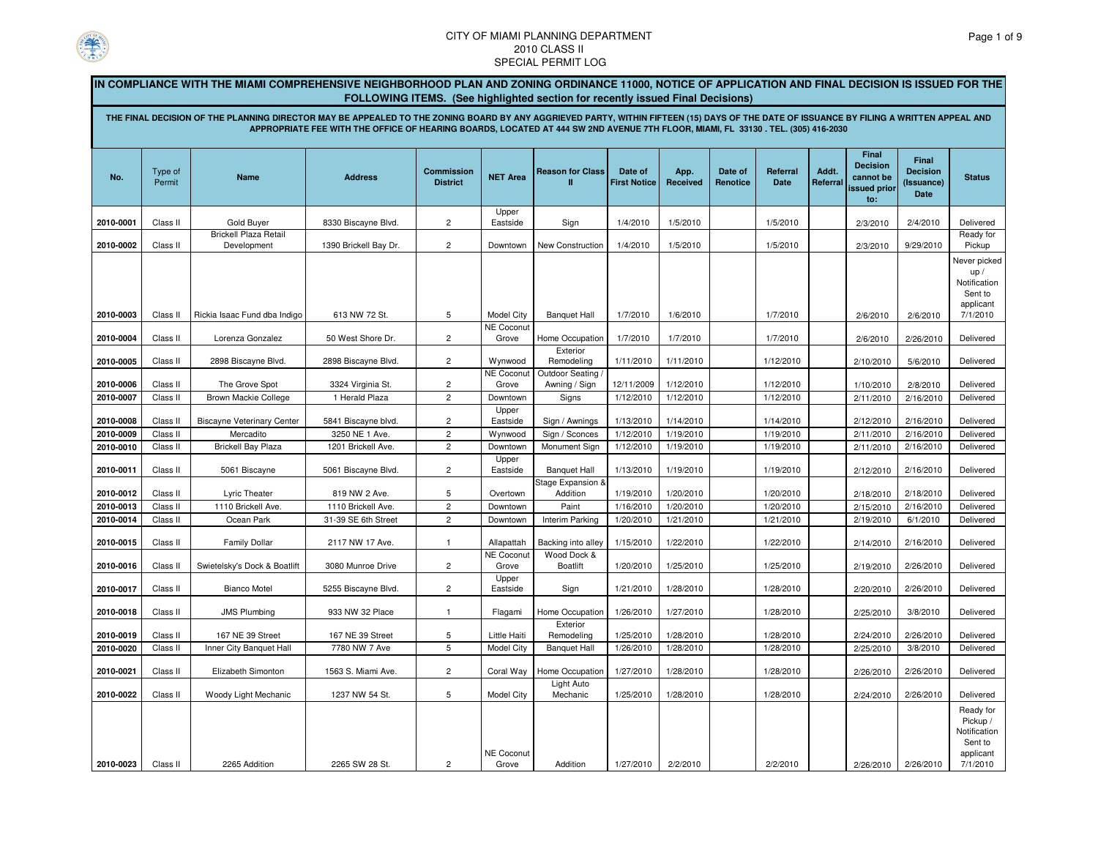

|                                                                                                                                                                                                                                                                                                                                                                                                               |                      | IN COMPLIANCE WITH THE MIAMI COMPREHENSIVE NEIGHBORHOOD PLAN AND ZONING ORDINANCE 11000, NOTICE OF APPLICATION AND FINAL DECISION IS ISSUED FOR THE |                                          |                                      |                                 |                                      |                                |                        |                            |                         |                   |                                                              |                                                |                                                                           |
|---------------------------------------------------------------------------------------------------------------------------------------------------------------------------------------------------------------------------------------------------------------------------------------------------------------------------------------------------------------------------------------------------------------|----------------------|-----------------------------------------------------------------------------------------------------------------------------------------------------|------------------------------------------|--------------------------------------|---------------------------------|--------------------------------------|--------------------------------|------------------------|----------------------------|-------------------------|-------------------|--------------------------------------------------------------|------------------------------------------------|---------------------------------------------------------------------------|
| FOLLOWING ITEMS. (See highlighted section for recently issued Final Decisions)<br>THE FINAL DECISION OF THE PLANNING DIRECTOR MAY BE APPEALED TO THE ZONING BOARD BY ANY AGGRIEVED PARTY, WITHIN FIFTEEN (15) DAYS OF THE DATE OF ISSUANCE BY FILING A WRITTEN APPEAL AND<br>APPROPRIATE FEE WITH THE OFFICE OF HEARING BOARDS, LOCATED AT 444 SW 2ND AVENUE 7TH FLOOR, MIAMI, FL 33130 . TEL. (305) 416-2030 |                      |                                                                                                                                                     |                                          |                                      |                                 |                                      |                                |                        |                            |                         |                   |                                                              |                                                |                                                                           |
| No.                                                                                                                                                                                                                                                                                                                                                                                                           | Type of<br>Permit    | Name                                                                                                                                                | <b>Address</b>                           | <b>Commission</b><br><b>District</b> | <b>NET Area</b>                 | <b>Reason for Class</b><br>П         | Date of<br><b>First Notice</b> | App.<br>Received       | Date of<br><b>Renotice</b> | Referral<br><b>Date</b> | Addt.<br>Referral | Final<br><b>Decision</b><br>cannot be<br>issued prior<br>to: | Final<br><b>Decision</b><br>(Issuance)<br>Date | <b>Status</b>                                                             |
| 2010-0001                                                                                                                                                                                                                                                                                                                                                                                                     | Class II             | Gold Buyer                                                                                                                                          | 8330 Biscayne Blvd.                      | $\overline{c}$                       | Upper<br>Eastside               | Sign                                 | 1/4/2010                       | 1/5/2010               |                            | 1/5/2010                |                   | 2/3/2010                                                     | 2/4/2010                                       | Delivered                                                                 |
| 2010-0002                                                                                                                                                                                                                                                                                                                                                                                                     | Class II             | <b>Brickell Plaza Retail</b><br>Development                                                                                                         | 1390 Brickell Bay Dr.                    | $\overline{2}$                       | Downtown                        | New Construction                     | 1/4/2010                       | 1/5/2010               |                            | 1/5/2010                |                   | 2/3/2010                                                     | 9/29/2010                                      | Ready for<br>Pickup                                                       |
| 2010-0003                                                                                                                                                                                                                                                                                                                                                                                                     | Class II             | Rickia Isaac Fund dba Indigo                                                                                                                        | 613 NW 72 St.                            | 5                                    | <b>Model City</b>               | <b>Banquet Hall</b>                  | 1/7/2010                       | 1/6/2010               |                            | 1/7/2010                |                   | 2/6/2010                                                     | 2/6/2010                                       | Never picked<br>up/<br>Notification<br>Sent to<br>applicant<br>7/1/2010   |
| 2010-0004                                                                                                                                                                                                                                                                                                                                                                                                     | Class II             | Lorenza Gonzalez                                                                                                                                    | 50 West Shore Dr.                        | $\overline{2}$                       | <b>NE Coconut</b><br>Grove      | Home Occupation                      | 1/7/2010                       | 1/7/2010               |                            | 1/7/2010                |                   | 2/6/2010                                                     | 2/26/2010                                      | Delivered                                                                 |
| 2010-0005                                                                                                                                                                                                                                                                                                                                                                                                     | Class II             | 2898 Biscayne Blvd.                                                                                                                                 | 2898 Biscayne Blvd                       | $\overline{c}$                       | Wynwood                         | Exterior<br>Remodeling               | 1/11/2010                      | 1/11/2010              |                            | 1/12/2010               |                   | 2/10/2010                                                    | 5/6/2010                                       | Delivered                                                                 |
|                                                                                                                                                                                                                                                                                                                                                                                                               |                      |                                                                                                                                                     |                                          |                                      | NE Coconu                       | Outdoor Seating                      |                                |                        |                            |                         |                   |                                                              |                                                |                                                                           |
| 2010-0006<br>2010-0007                                                                                                                                                                                                                                                                                                                                                                                        | Class II<br>Class II | The Grove Spot<br><b>Brown Mackie College</b>                                                                                                       | 3324 Virginia St.<br>1 Herald Plaza      | $\overline{c}$<br>$\overline{c}$     | Grove<br>Downtown               | Awning / Sign<br>Signs               | 12/11/2009<br>1/12/2010        | 1/12/2010<br>1/12/2010 |                            | 1/12/2010<br>1/12/2010  |                   | 1/10/2010<br>2/11/2010                                       | 2/8/2010<br>2/16/2010                          | Delivered<br>Delivered                                                    |
| 2010-0008                                                                                                                                                                                                                                                                                                                                                                                                     | Class II             | <b>Biscayne Veterinary Center</b>                                                                                                                   | 5841 Biscayne blvd.                      | $\overline{c}$                       | Upper<br>Eastside               | Sign / Awnings                       | 1/13/2010                      | 1/14/2010              |                            | 1/14/2010               |                   | 2/12/2010                                                    | 2/16/2010                                      | Delivered                                                                 |
| 2010-0009                                                                                                                                                                                                                                                                                                                                                                                                     | Class II             | Mercadito                                                                                                                                           | 3250 NE 1 Ave.                           | $\overline{c}$                       | Wynwood                         | Sign / Sconces                       | 1/12/2010                      | 1/19/2010              |                            | 1/19/2010               |                   | 2/11/2010                                                    | 2/16/2010                                      | Delivered                                                                 |
| 2010-0010<br>2010-0011                                                                                                                                                                                                                                                                                                                                                                                        | Class II<br>Class II | <b>Brickell Bay Plaza</b><br>5061 Biscayne                                                                                                          | 1201 Brickell Ave.<br>5061 Biscayne Blvd | $\overline{c}$<br>$\overline{2}$     | Downtown<br>Upper<br>Eastside   | Monument Sign<br><b>Banquet Hall</b> | 1/12/2010<br>1/13/2010         | 1/19/2010<br>1/19/2010 |                            | 1/19/2010<br>1/19/2010  |                   | 2/11/2010<br>2/12/2010                                       | 2/16/2010<br>2/16/2010                         | Delivered<br>Delivered                                                    |
| 2010-0012                                                                                                                                                                                                                                                                                                                                                                                                     | Class II             | Lyric Theater                                                                                                                                       | 819 NW 2 Ave.                            | $\mathbf 5$                          | Overtown                        | Stage Expansion &<br>Addition        | 1/19/2010                      | 1/20/2010              |                            | 1/20/2010               |                   | 2/18/2010                                                    | 2/18/2010                                      | Delivered                                                                 |
| 2010-0013                                                                                                                                                                                                                                                                                                                                                                                                     | Class II             | 1110 Brickell Ave.                                                                                                                                  | 1110 Brickell Ave.                       | $\sqrt{2}$                           | Downtown                        | Paint                                | 1/16/2010                      | 1/20/2010              |                            | 1/20/2010               |                   | 2/15/2010                                                    | 2/16/2010                                      | Delivered                                                                 |
| 2010-0014                                                                                                                                                                                                                                                                                                                                                                                                     | Class II             | Ocean Park                                                                                                                                          | 31-39 SE 6th Street                      | $\sqrt{2}$                           | Downtown                        | Interim Parking                      | 1/20/2010                      | 1/21/2010              |                            | 1/21/2010               |                   | 2/19/2010                                                    | 6/1/2010                                       | Delivered                                                                 |
| 2010-0015                                                                                                                                                                                                                                                                                                                                                                                                     | Class II             | <b>Family Dollar</b>                                                                                                                                | 2117 NW 17 Ave.                          | $\mathbf{1}$                         | Allapattah<br><b>NE Coconut</b> | Backing into alley<br>Wood Dock &    | 1/15/2010                      | 1/22/2010              |                            | 1/22/2010               |                   | 2/14/2010                                                    | 2/16/2010                                      | Delivered                                                                 |
| 2010-0016                                                                                                                                                                                                                                                                                                                                                                                                     | Class II             | Swietelsky's Dock & Boatlift                                                                                                                        | 3080 Munroe Drive                        | $\overline{c}$                       | Grove<br>Upper                  | <b>Boatlift</b>                      | 1/20/2010                      | 1/25/2010              |                            | 1/25/2010               |                   | 2/19/2010                                                    | 2/26/2010                                      | Delivered                                                                 |
| 2010-0017                                                                                                                                                                                                                                                                                                                                                                                                     | Class II             | <b>Bianco Motel</b>                                                                                                                                 | 5255 Biscayne Blvd                       | $\overline{c}$                       | Eastside                        | Sign                                 | 1/21/2010                      | 1/28/2010              |                            | 1/28/2010               |                   | 2/20/2010                                                    | 2/26/2010                                      | Delivered                                                                 |
| 2010-0018                                                                                                                                                                                                                                                                                                                                                                                                     | Class II             | <b>JMS Plumbing</b>                                                                                                                                 | 933 NW 32 Place                          | $\mathbf{1}$                         | Flagami                         | Home Occupation<br>Exterior          | 1/26/2010                      | 1/27/2010              |                            | 1/28/2010               |                   | 2/25/2010                                                    | 3/8/2010                                       | Delivered                                                                 |
| 2010-0019                                                                                                                                                                                                                                                                                                                                                                                                     | Class II             | 167 NE 39 Street                                                                                                                                    | 167 NE 39 Street                         | 5                                    | Little Haiti                    | Remodeling                           | 1/25/2010                      | 1/28/2010              |                            | 1/28/2010               |                   | 2/24/2010                                                    | 2/26/2010                                      | Delivered                                                                 |
| 2010-0020                                                                                                                                                                                                                                                                                                                                                                                                     | Class II             | Inner City Banquet Hall                                                                                                                             | 7780 NW 7 Ave                            | 5                                    | <b>Model City</b>               | <b>Banquet Hall</b>                  | 1/26/2010                      | 1/28/2010              |                            | 1/28/2010               |                   | 2/25/2010                                                    | 3/8/2010                                       | Delivered                                                                 |
| 2010-0021                                                                                                                                                                                                                                                                                                                                                                                                     | Class II             | Elizabeth Simonton                                                                                                                                  | 1563 S. Miami Ave.                       | $\overline{c}$                       | Coral Way                       | <b>Home Occupation</b>               | 1/27/2010                      | 1/28/2010              |                            | 1/28/2010               |                   | 2/26/2010                                                    | 2/26/2010                                      | Delivered                                                                 |
| 2010-0022                                                                                                                                                                                                                                                                                                                                                                                                     | Class II             | Woody Light Mechanic                                                                                                                                | 1237 NW 54 St.                           | 5                                    | <b>Model City</b>               | Light Auto<br>Mechanic               | 1/25/2010                      | 1/28/2010              |                            | 1/28/2010               |                   | 2/24/2010                                                    | 2/26/2010                                      | Delivered                                                                 |
| 2010-0023                                                                                                                                                                                                                                                                                                                                                                                                     | Class II             | 2265 Addition                                                                                                                                       | 2265 SW 28 St.                           | $\overline{c}$                       | NE Coconut<br>Grove             | Addition                             | 1/27/2010                      | 2/2/2010               |                            | 2/2/2010                |                   | 2/26/2010                                                    | 2/26/2010                                      | Ready for<br>Pickup /<br>Notification<br>Sent to<br>applicant<br>7/1/2010 |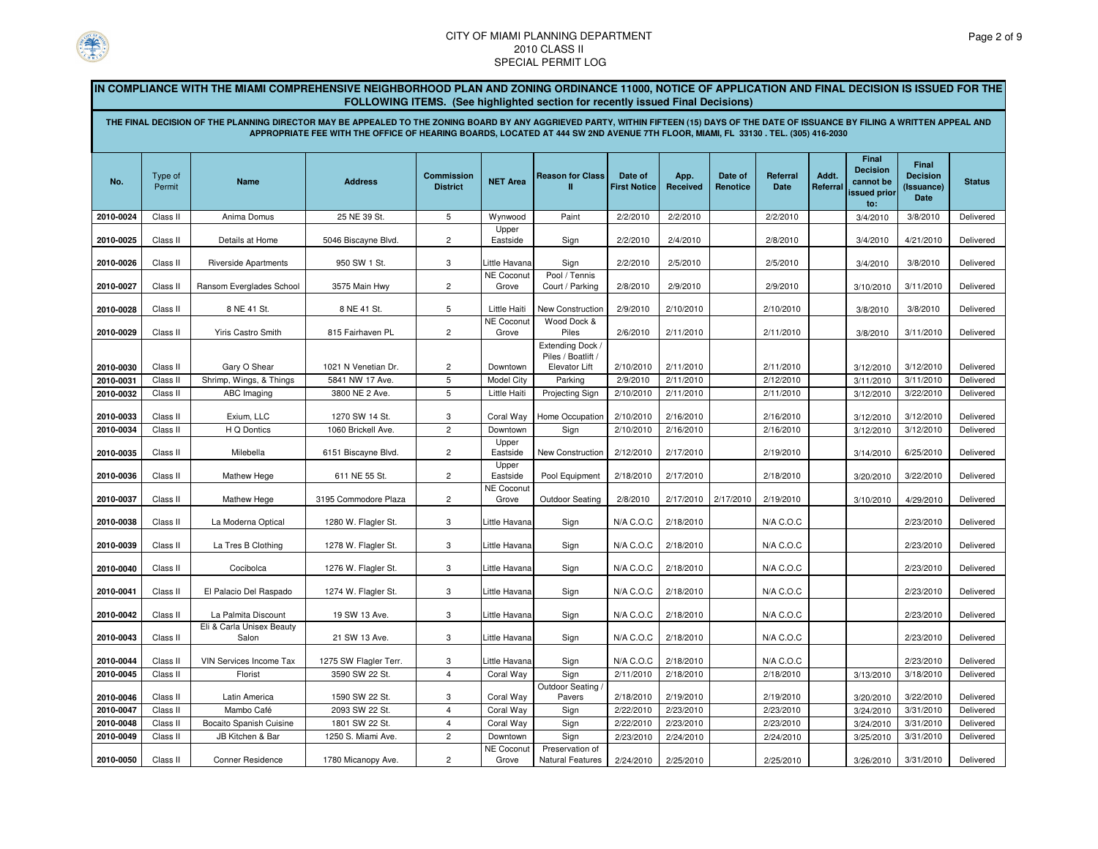

**IN COMPLIANCE WITH THE MIAMI COMPREHENSIVE NEIGHBORHOOD PLAN AND ZONING ORDINANCE 11000, NOTICE OF APPLICATION AND FINAL DECISION IS ISSUED FOR THE FOLLOWING ITEMS. (See highlighted section for recently issued Final Decisions)**

**THE FINAL DECISION OF THE PLANNING DIRECTOR MAY BE APPEALED TO THE ZONING BOARD BY ANY AGGRIEVED PARTY, WITHIN FIFTEEN (15) DAYS OF THE DATE OF ISSUANCE BY FILING A WRITTEN APPEAL AND APPROPRIATE FEE WITH THE OFFICE OF HEARING BOARDS, LOCATED AT 444 SW 2ND AVENUE 7TH FLOOR, MIAMI, FL 33130 . TEL. (305) 416-2030**

| No.       | Type of<br>Permit | <b>Name</b>                                      | <b>Address</b>        | <b>Commission</b><br><b>District</b> | <b>NET Area</b>                | <b>Reason for Class</b><br>Ш                            | Date of<br><b>First Notice</b> | App.<br>Received | Date of<br>Renotice | Referral<br><b>Date</b> | Addt.<br>Referral | Final<br><b>Decision</b><br>cannot be<br>issued prior<br>to: | <b>Final</b><br><b>Decision</b><br>(Issuance)<br><b>Date</b> | <b>Status</b> |
|-----------|-------------------|--------------------------------------------------|-----------------------|--------------------------------------|--------------------------------|---------------------------------------------------------|--------------------------------|------------------|---------------------|-------------------------|-------------------|--------------------------------------------------------------|--------------------------------------------------------------|---------------|
| 2010-0024 | Class II          | Anima Domus                                      | 25 NE 39 St.          | 5                                    | Wynwood                        | Paint                                                   | 2/2/2010                       | 2/2/2010         |                     | 2/2/2010                |                   | 3/4/2010                                                     | 3/8/2010                                                     | Delivered     |
| 2010-0025 | Class II          | Details at Home                                  | 5046 Biscayne Blvd.   | $\overline{c}$                       | Upper<br>Eastside              | Sign                                                    | 2/2/2010                       | 2/4/2010         |                     | 2/8/2010                |                   | 3/4/2010                                                     | 4/21/2010                                                    | Delivered     |
| 2010-0026 | Class II          | <b>Riverside Apartments</b>                      | 950 SW 1 St.          | 3                                    | ittle Havana                   | Sign                                                    | 2/2/2010                       | 2/5/2010         |                     | 2/5/2010                |                   | 3/4/2010                                                     | 3/8/2010                                                     | Delivered     |
| 2010-0027 | Class II          | Ransom Everglades School                         | 3575 Main Hwy         | $\overline{c}$                       | <b>NE Coconut</b><br>Grove     | Pool / Tennis<br>Court / Parking                        | 2/8/2010                       | 2/9/2010         |                     | 2/9/2010                |                   | 3/10/2010                                                    | 3/11/2010                                                    | Delivered     |
| 2010-0028 | Class II          | 8 NE 41 St.                                      | 8 NE 41 St.           | 5                                    | <b>Little Haiti</b>            | New Construction<br>Wood Dock &                         | 2/9/2010                       | 2/10/2010        |                     | 2/10/2010               |                   | 3/8/2010                                                     | 3/8/2010                                                     | Delivered     |
| 2010-0029 | Class II          | <b>Yiris Castro Smith</b>                        | 815 Fairhaven PL      | $\overline{c}$                       | NE Coconu<br>Grove             | Piles                                                   | 2/6/2010                       | 2/11/2010        |                     | 2/11/2010               |                   | 3/8/2010                                                     | 3/11/2010                                                    | Delivered     |
| 2010-0030 | Class II          | Gary O Shear                                     | 1021 N Venetian Dr.   | $\overline{c}$                       | Downtown                       | Extending Dock /<br>Piles / Boatlift /<br>Elevator Lift | 2/10/2010                      | 2/11/2010        |                     | 2/11/2010               |                   | 3/12/2010                                                    | 3/12/2010                                                    | Delivered     |
| 2010-0031 | Class II          | Shrimp, Wings, & Things                          | 5841 NW 17 Ave.       | 5                                    | Model City                     | Parking                                                 | 2/9/2010                       | 2/11/2010        |                     | 2/12/2010               |                   | 3/11/2010                                                    | 3/11/2010                                                    | Delivered     |
| 2010-0032 | Class II          | ABC Imaging                                      | 3800 NE 2 Ave.        | 5                                    | <b>Little Haiti</b>            | Projecting Sign                                         | 2/10/2010                      | 2/11/2010        |                     | 2/11/2010               |                   | 3/12/2010                                                    | 3/22/2010                                                    | Delivered     |
| 2010-0033 | Class II          | Exium, LLC                                       | 1270 SW 14 St.        | 3                                    | Coral Way                      | Home Occupation                                         | 2/10/2010                      | 2/16/2010        |                     | 2/16/2010               |                   | 3/12/2010                                                    | 3/12/2010                                                    | Delivered     |
| 2010-0034 | Class II          | H Q Dontics                                      | 1060 Brickell Ave.    | $\overline{c}$                       | Downtown                       | Sign                                                    | 2/10/2010                      | 2/16/2010        |                     | 2/16/2010               |                   | 3/12/2010                                                    | 3/12/2010                                                    | Delivered     |
| 2010-0035 | Class II          | Milebella                                        | 6151 Biscayne Blvd.   | $\overline{c}$                       | Upper<br>Eastside              | New Construction                                        | 2/12/2010                      | 2/17/2010        |                     | 2/19/2010               |                   | 3/14/2010                                                    | 6/25/2010                                                    | Delivered     |
| 2010-0036 | Class II          | Mathew Hege                                      | 611 NE 55 St.         | $\overline{c}$                       | Upper<br>Eastside<br>NE Coconu | Pool Equipment                                          | 2/18/2010                      | 2/17/2010        |                     | 2/18/2010               |                   | 3/20/2010                                                    | 3/22/2010                                                    | Delivered     |
| 2010-0037 | Class II          | Mathew Hege                                      | 3195 Commodore Plaza  | $\overline{c}$                       | Grove                          | <b>Outdoor Seating</b>                                  | 2/8/2010                       | 2/17/2010        | 2/17/2010           | 2/19/2010               |                   | 3/10/2010                                                    | 4/29/2010                                                    | Delivered     |
| 2010-0038 | Class II          | La Moderna Optical                               | 1280 W. Flagler St.   | 3                                    | Little Havana                  | Sign                                                    | N/A C.O.C                      | 2/18/2010        |                     | N/A C.O.C               |                   |                                                              | 2/23/2010                                                    | Delivered     |
| 2010-0039 | Class II          | La Tres B Clothing                               | 1278 W. Flagler St.   | 3                                    | Little Havana                  | Sign                                                    | N/A C.O.C                      | 2/18/2010        |                     | N/A C.O.C               |                   |                                                              | 2/23/2010                                                    | Delivered     |
| 2010-0040 | Class II          | Cocibolca                                        | 1276 W. Flagler St.   | 3                                    | Little Havana                  | Sign                                                    | N/A C.O.C                      | 2/18/2010        |                     | N/A C.O.C               |                   |                                                              | 2/23/2010                                                    | Delivered     |
| 2010-0041 | Class II          | El Palacio Del Raspado                           | 1274 W. Flagler St.   | 3                                    | Little Havana                  | Sign                                                    | N/A C.O.C                      | 2/18/2010        |                     | N/A C.O.C               |                   |                                                              | 2/23/2010                                                    | Delivered     |
| 2010-0042 | Class II          | La Palmita Discount<br>Eli & Carla Unisex Beauty | 19 SW 13 Ave.         | 3                                    | Little Havana                  | Sign                                                    | N/A C.O.C                      | 2/18/2010        |                     | N/A C.O.C               |                   |                                                              | 2/23/2010                                                    | Delivered     |
| 2010-0043 | Class II          | Salon                                            | 21 SW 13 Ave.         | 3                                    | Little Havana                  | Sign                                                    | N/A C.O.C                      | 2/18/2010        |                     | N/A C.O.C               |                   |                                                              | 2/23/2010                                                    | Delivered     |
| 2010-0044 | Class II          | VIN Services Income Tax                          | 1275 SW Flagler Terr. | 3                                    | ittle Havana                   | Sign                                                    | N/A C.O.C                      | 2/18/2010        |                     | N/A C.O.C               |                   |                                                              | 2/23/2010                                                    | Delivered     |
| 2010-0045 | Class II          | Florist                                          | 3590 SW 22 St.        | $\overline{4}$                       | Coral Way                      | Sign<br>Outdoor Seating                                 | 2/11/2010                      | 2/18/2010        |                     | 2/18/2010               |                   | 3/13/2010                                                    | 3/18/2010                                                    | Delivered     |
| 2010-0046 | Class II          | Latin America                                    | 1590 SW 22 St.        | 3                                    | Coral Way                      | Pavers                                                  | 2/18/2010                      | 2/19/2010        |                     | 2/19/2010               |                   | 3/20/2010                                                    | 3/22/2010                                                    | Delivered     |
| 2010-0047 | Class II          | Mambo Café                                       | 2093 SW 22 St.        | $\overline{4}$                       | Coral Way                      | Sign                                                    | 2/22/2010                      | 2/23/2010        |                     | 2/23/2010               |                   | 3/24/2010                                                    | 3/31/2010                                                    | Delivered     |
| 2010-0048 | Class II          | Bocaito Spanish Cuisine                          | 1801 SW 22 St.        | $\overline{4}$                       | Coral Way                      | Sign                                                    | 2/22/2010                      | 2/23/2010        |                     | 2/23/2010               |                   | 3/24/2010                                                    | 3/31/2010                                                    | Delivered     |
| 2010-0049 | Class II          | JB Kitchen & Bar                                 | 1250 S. Miami Ave.    | $\overline{c}$                       | Downtown                       | Sign                                                    | 2/23/2010                      | 2/24/2010        |                     | 2/24/2010               |                   | 3/25/2010                                                    | 3/31/2010                                                    | Delivered     |
| 2010-0050 | Class II          | <b>Conner Residence</b>                          | 1780 Micanopy Ave.    | $\overline{c}$                       | <b>NE Coconut</b><br>Grove     | Preservation of<br><b>Natural Features</b>              | 2/24/2010                      | 2/25/2010        |                     | 2/25/2010               |                   | 3/26/2010                                                    | 3/31/2010                                                    | Delivered     |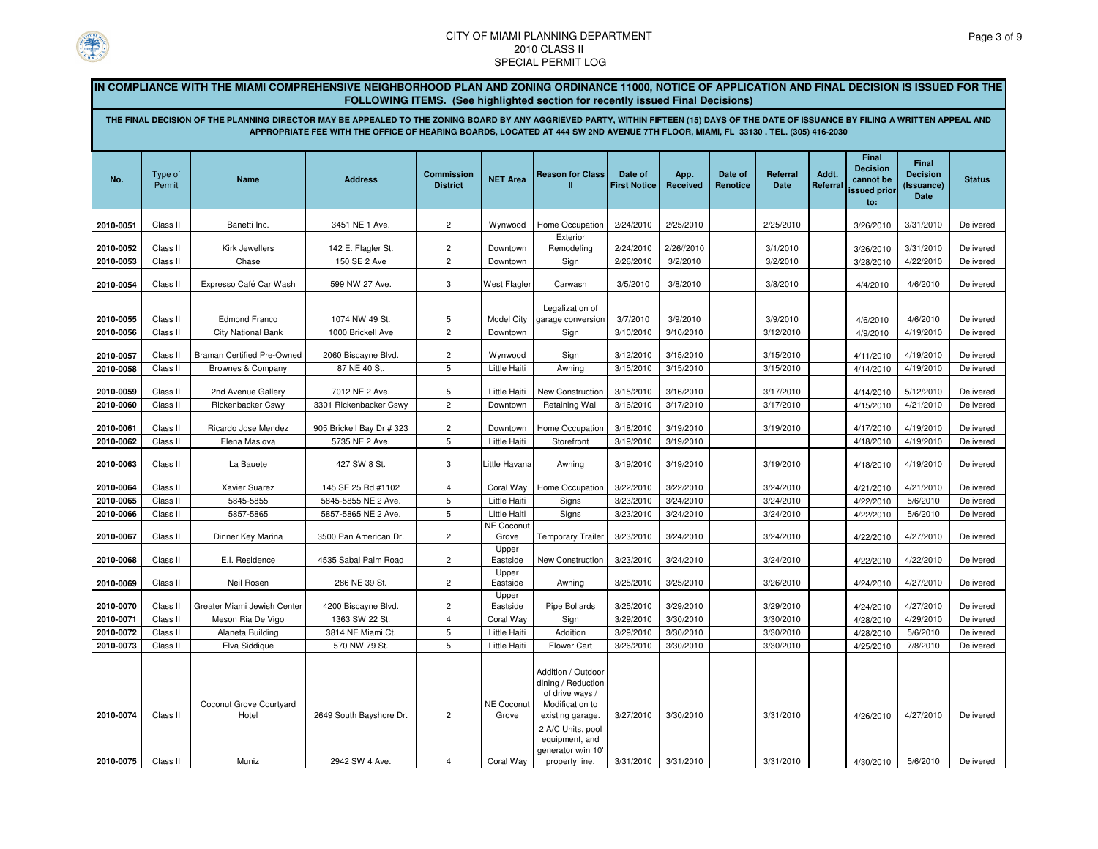

IN COMPLIANCE WITH THE MIAMI COMPREHENSIVE NEIGHBORHOOD PLAN AND ZONING ORDINANCE 11000, NOTICE OF APPLICATION AND FINAL DECISION IS ISSUED FOR THE **FOLLOWING ITEMS. (See highlighted section for recently issued Final Decisions)**

**THE FINAL DECISION OF THE PLANNING DIRECTOR MAY BE APPEALED TO THE ZONING BOARD BY ANY AGGRIEVED PARTY, WITHIN FIFTEEN (15) DAYS OF THE DATE OF ISSUANCE BY FILING A WRITTEN APPEAL AND APPROPRIATE FEE WITH THE OFFICE OF HEARING BOARDS, LOCATED AT 444 SW 2ND AVENUE 7TH FLOOR, MIAMI, FL 33130 . TEL. (305) 416-2030**

| No.       | Type of<br>Permit | <b>Name</b>                       | <b>Address</b>            | <b>Commission</b><br><b>District</b> | <b>NET Area</b>     | <b>Reason for Class</b>                                                                            | Date of<br><b>First Notice</b> | App.<br>Received | Date of<br>Renotice | Referral<br>Date | Addt.<br>Referral | Final<br><b>Decision</b><br>cannot be<br>issued prior<br>to: | <b>Final</b><br><b>Decision</b><br>(Issuance)<br><b>Date</b> | <b>Status</b> |
|-----------|-------------------|-----------------------------------|---------------------------|--------------------------------------|---------------------|----------------------------------------------------------------------------------------------------|--------------------------------|------------------|---------------------|------------------|-------------------|--------------------------------------------------------------|--------------------------------------------------------------|---------------|
| 2010-0051 |                   | Banetti Inc.                      | 3451 NE 1 Ave.            | $\overline{2}$                       | Wynwood             | Home Occupation                                                                                    | 2/24/2010                      | 2/25/2010        |                     | 2/25/2010        |                   |                                                              | 3/31/2010                                                    | Delivered     |
|           | Class II          |                                   |                           |                                      |                     | Exterior                                                                                           |                                |                  |                     |                  |                   | 3/26/2010                                                    |                                                              |               |
| 2010-0052 | Class II          | Kirk Jewellers                    | 142 E. Flagler St.        | $\overline{c}$                       | Downtown            | Remodeling                                                                                         | 2/24/2010                      | 2/26//2010       |                     | 3/1/2010         |                   | 3/26/2010                                                    | 3/31/2010                                                    | Delivered     |
| 2010-0053 | Class II          | Chase                             | 150 SE 2 Ave              | $\overline{c}$                       | Downtown            | Sign                                                                                               | 2/26/2010                      | 3/2/2010         |                     | 3/2/2010         |                   | 3/28/2010                                                    | 4/22/2010                                                    | Delivered     |
| 2010-0054 | Class II          | Expresso Café Car Wash            | 599 NW 27 Ave.            | 3                                    | <b>West Flagler</b> | Carwash                                                                                            | 3/5/2010                       | 3/8/2010         |                     | 3/8/2010         |                   | 4/4/2010                                                     | 4/6/2010                                                     | Delivered     |
|           |                   |                                   |                           |                                      |                     | Legalization of                                                                                    |                                |                  |                     |                  |                   |                                                              |                                                              |               |
| 2010-0055 | Class II          | <b>Edmond Franco</b>              | 1074 NW 49 St.            | 5                                    | <b>Model City</b>   | garage conversion                                                                                  | 3/7/2010                       | 3/9/2010         |                     | 3/9/2010         |                   | 4/6/2010                                                     | 4/6/2010                                                     | Delivered     |
| 2010-0056 | Class II          | <b>City National Bank</b>         | 1000 Brickell Ave         | $\overline{2}$                       | Downtown            | Sign                                                                                               | 3/10/2010                      | 3/10/2010        |                     | 3/12/2010        |                   | 4/9/2010                                                     | 4/19/2010                                                    | Delivered     |
|           |                   |                                   |                           |                                      |                     |                                                                                                    |                                |                  |                     |                  |                   |                                                              |                                                              |               |
| 2010-0057 | Class II          | <b>Braman Certified Pre-Owned</b> | 2060 Biscayne Blvd.       | 2                                    | Wynwood             | Sign                                                                                               | 3/12/2010                      | 3/15/2010        |                     | 3/15/2010        |                   | 4/11/2010                                                    | 4/19/2010                                                    | Delivered     |
| 2010-0058 | Class II          | Brownes & Company                 | 87 NE 40 St.              | 5                                    | Little Haiti        | Awning                                                                                             | 3/15/2010                      | 3/15/2010        |                     | 3/15/2010        |                   | 4/14/2010                                                    | 4/19/2010                                                    | Delivered     |
| 2010-0059 | Class II          | 2nd Avenue Gallery                | 7012 NE 2 Ave.            | 5                                    | Little Haiti        | <b>New Construction</b>                                                                            | 3/15/2010                      | 3/16/2010        |                     | 3/17/2010        |                   | 4/14/2010                                                    | 5/12/2010                                                    | Delivered     |
| 2010-0060 | Class II          | Rickenbacker Cswy                 | 3301 Rickenbacker Cswy    | $\overline{2}$                       | Downtown            | <b>Retaining Wall</b>                                                                              | 3/16/2010                      | 3/17/2010        |                     | 3/17/2010        |                   | 4/15/2010                                                    | 4/21/2010                                                    | Delivered     |
| 2010-0061 | Class II          | Ricardo Jose Mendez               | 905 Brickell Bay Dr # 323 | $\overline{c}$                       | Downtown            | Home Occupation                                                                                    | 3/18/2010                      | 3/19/2010        |                     | 3/19/2010        |                   | 4/17/2010                                                    | 4/19/2010                                                    | Delivered     |
| 2010-0062 | Class II          | Elena Maslova                     | 5735 NE 2 Ave.            | $\overline{5}$                       | Little Haiti        | Storefront                                                                                         | 3/19/2010                      | 3/19/2010        |                     |                  |                   | 4/18/2010                                                    | 4/19/2010                                                    | Delivered     |
| 2010-0063 | Class II          | La Bauete                         | 427 SW 8 St.              | 3                                    | Little Havana       | Awning                                                                                             | 3/19/2010                      | 3/19/2010        |                     | 3/19/2010        |                   | 4/18/2010                                                    | 4/19/2010                                                    | Delivered     |
| 2010-0064 | Class II          | Xavier Suarez                     | 145 SE 25 Rd #1102        | 4                                    | Coral Way           | Home Occupation                                                                                    | 3/22/2010                      | 3/22/2010        |                     | 3/24/2010        |                   | 4/21/2010                                                    | 4/21/2010                                                    | Delivered     |
| 2010-0065 | Class II          | 5845-5855                         | 5845-5855 NE 2 Ave.       | 5                                    | Little Haiti        | Signs                                                                                              | 3/23/2010                      | 3/24/2010        |                     | 3/24/2010        |                   | 4/22/2010                                                    | 5/6/2010                                                     | Delivered     |
| 2010-0066 | Class II          | 5857-5865                         | 5857-5865 NE 2 Ave.       | 5                                    | Little Haiti        | Signs                                                                                              | 3/23/2010                      | 3/24/2010        |                     | 3/24/2010        |                   | 4/22/2010                                                    | 5/6/2010                                                     | Delivered     |
| 2010-0067 | Class II          | Dinner Key Marina                 | 3500 Pan American Dr.     | $\overline{c}$                       | NE Coconut<br>Grove | Temporary Trailer                                                                                  | 3/23/2010                      | 3/24/2010        |                     | 3/24/2010        |                   | 4/22/2010                                                    | 4/27/2010                                                    | Delivered     |
| 2010-0068 | Class II          | E.I. Residence                    | 4535 Sabal Palm Road      | $\overline{c}$                       | Upper<br>Eastside   | <b>New Construction</b>                                                                            | 3/23/2010                      | 3/24/2010        |                     | 3/24/2010        |                   | 4/22/2010                                                    | 4/22/2010                                                    | Delivered     |
| 2010-0069 | Class II          | Neil Rosen                        | 286 NE 39 St.             | $\overline{2}$                       | Upper<br>Eastside   | Awning                                                                                             | 3/25/2010                      | 3/25/2010        |                     | 3/26/2010        |                   | 4/24/2010                                                    | 4/27/2010                                                    | Delivered     |
| 2010-0070 | Class II          | Greater Miami Jewish Center       | 4200 Biscayne Blvd.       | $\overline{c}$                       | Upper<br>Eastside   | Pipe Bollards                                                                                      | 3/25/2010                      | 3/29/2010        |                     | 3/29/2010        |                   | 4/24/2010                                                    | 4/27/2010                                                    | Delivered     |
| 2010-0071 | Class II          | Meson Ria De Vigo                 | 1363 SW 22 St.            | $\overline{4}$                       | Coral Way           | Sign                                                                                               | 3/29/2010                      | 3/30/2010        |                     | 3/30/2010        |                   | 4/28/2010                                                    | 4/29/2010                                                    | Delivered     |
| 2010-0072 | Class II          | Alaneta Building                  | 3814 NE Miami Ct.         | 5                                    | Little Haiti        | Addition                                                                                           | 3/29/2010                      | 3/30/2010        |                     | 3/30/2010        |                   | 4/28/2010                                                    | 5/6/2010                                                     | Delivered     |
| 2010-0073 | Class II          | Elva Siddique                     | 570 NW 79 St.             | 5                                    | Little Haiti        | Flower Cart                                                                                        | 3/26/2010                      | 3/30/2010        |                     | 3/30/2010        |                   | 4/25/2010                                                    | 7/8/2010                                                     | Delivered     |
| 2010-0074 | Class II          | Coconut Grove Courtyard<br>Hotel  | 2649 South Bayshore Dr.   | $\overline{c}$                       | NE Coconut<br>Grove | Addition / Outdoor<br>dining / Reduction<br>of drive ways /<br>Modification to<br>existing garage. | 3/27/2010                      | 3/30/2010        |                     | 3/31/2010        |                   | 4/26/2010                                                    | 4/27/2010                                                    | Delivered     |
| 2010-0075 | Class II          | Muniz                             | 2942 SW 4 Ave.            | $\overline{4}$                       | Coral Way           | 2 A/C Units, pool<br>equipment, and<br>generator w/in 10'<br>property line.                        | 3/31/2010                      | 3/31/2010        |                     | 3/31/2010        |                   | 4/30/2010                                                    | 5/6/2010                                                     | Delivered     |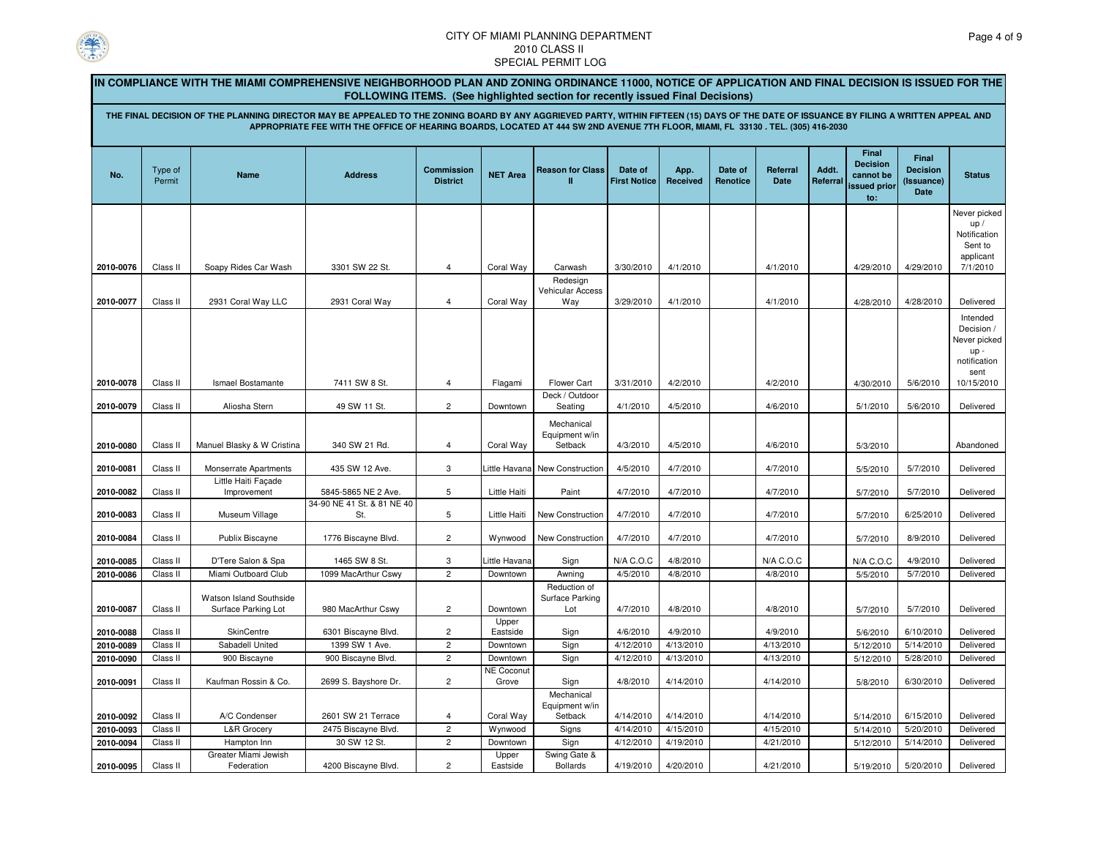

|                        |                                                                                                                                                                                                                                                                                                                                                                                                                      | IN COMPLIANCE WITH THE MIAMI COMPREHENSIVE NEIGHBORHOOD PLAN AND ZONING ORDINANCE 11000, NOTICE OF APPLICATION AND FINAL DECISION IS ISSUED FOR THE |                                           |                                      |                            |                                                  |                                |                        |                     |                         |                   |                                                              |                                                       |                                                                         |
|------------------------|----------------------------------------------------------------------------------------------------------------------------------------------------------------------------------------------------------------------------------------------------------------------------------------------------------------------------------------------------------------------------------------------------------------------|-----------------------------------------------------------------------------------------------------------------------------------------------------|-------------------------------------------|--------------------------------------|----------------------------|--------------------------------------------------|--------------------------------|------------------------|---------------------|-------------------------|-------------------|--------------------------------------------------------------|-------------------------------------------------------|-------------------------------------------------------------------------|
|                        | <b>FOLLOWING ITEMS.</b> (See highlighted section for recently issued Final Decisions)<br>THE FINAL DECISION OF THE PLANNING DIRECTOR MAY BE APPEALED TO THE ZONING BOARD BY ANY AGGRIEVED PARTY, WITHIN FIFTEEN (15) DAYS OF THE DATE OF ISSUANCE BY FILING A WRITTEN APPEAL AND<br>APPROPRIATE FEE WITH THE OFFICE OF HEARING BOARDS, LOCATED AT 444 SW 2ND AVENUE 7TH FLOOR, MIAMI, FL 33130 . TEL. (305) 416-2030 |                                                                                                                                                     |                                           |                                      |                            |                                                  |                                |                        |                     |                         |                   |                                                              |                                                       |                                                                         |
| No.                    | Type of<br>Permit                                                                                                                                                                                                                                                                                                                                                                                                    | Name                                                                                                                                                | <b>Address</b>                            | <b>Commission</b><br><b>District</b> | <b>NET Area</b>            | <b>Reason for Class</b><br>Ш                     | Date of<br><b>First Notice</b> | App.<br>Received       | Date of<br>Renotice | Referral<br><b>Date</b> | Addt.<br>Referral | Final<br><b>Decision</b><br>cannot be<br>issued prior<br>to: | <b>Final</b><br><b>Decision</b><br>(Issuance)<br>Date | <b>Status</b>                                                           |
| 2010-0076              | Class II                                                                                                                                                                                                                                                                                                                                                                                                             | Soapy Rides Car Wash                                                                                                                                | 3301 SW 22 St.                            | $\overline{4}$                       | Coral Way                  | Carwash                                          | 3/30/2010                      | 4/1/2010               |                     | 4/1/2010                |                   | 4/29/2010                                                    | 4/29/2010                                             | Never picked<br>up/<br>Notification<br>Sent to<br>applicant<br>7/1/2010 |
| 2010-0077              | Class II                                                                                                                                                                                                                                                                                                                                                                                                             | 2931 Coral Way LLC                                                                                                                                  | 2931 Coral Way                            | $\overline{4}$                       | Coral Way                  | Redesign<br>Vehicular Access<br>Way              | 3/29/2010                      | 4/1/2010               |                     | 4/1/2010                |                   | 4/28/2010                                                    | 4/28/2010                                             | Delivered                                                               |
|                        |                                                                                                                                                                                                                                                                                                                                                                                                                      |                                                                                                                                                     |                                           |                                      |                            |                                                  |                                |                        |                     |                         |                   |                                                              |                                                       | Intended<br>Decision /<br>Never picked<br>up-<br>notification<br>sent   |
| 2010-0078              | Class II                                                                                                                                                                                                                                                                                                                                                                                                             | <b>Ismael Bostamante</b>                                                                                                                            | 7411 SW 8 St.                             | $\overline{4}$                       | Flagami                    | Flower Cart<br>Deck / Outdoor                    | 3/31/2010                      | 4/2/2010               |                     | 4/2/2010                |                   | 4/30/2010                                                    | 5/6/2010                                              | 10/15/2010                                                              |
| 2010-0079              | Class II                                                                                                                                                                                                                                                                                                                                                                                                             | Aliosha Stern                                                                                                                                       | 49 SW 11 St.                              | $\overline{c}$                       | Downtown                   | Seating                                          | 4/1/2010                       | 4/5/2010               |                     | 4/6/2010                |                   | 5/1/2010                                                     | 5/6/2010                                              | Delivered                                                               |
| 2010-0080              | Class II                                                                                                                                                                                                                                                                                                                                                                                                             | Manuel Blasky & W Cristina                                                                                                                          | 340 SW 21 Rd.                             | 4                                    | Coral Way                  | Mechanical<br>Equipment w/in<br>Setback          | 4/3/2010                       | 4/5/2010               |                     | 4/6/2010                |                   | 5/3/2010                                                     |                                                       | Abandoned                                                               |
| 2010-0081              | Class II                                                                                                                                                                                                                                                                                                                                                                                                             | <b>Monserrate Apartments</b>                                                                                                                        | 435 SW 12 Ave.                            | 3                                    | ittle Havana               | New Construction                                 | 4/5/2010                       | 4/7/2010               |                     | 4/7/2010                |                   | 5/5/2010                                                     | 5/7/2010                                              | Delivered                                                               |
| 2010-0082              | Class II                                                                                                                                                                                                                                                                                                                                                                                                             | Little Haiti Façade<br>Improvement                                                                                                                  | 5845-5865 NE 2 Ave.                       | 5                                    | Little Haiti               | Paint                                            | 4/7/2010                       | 4/7/2010               |                     | 4/7/2010                |                   | 5/7/2010                                                     | 5/7/2010                                              | Delivered                                                               |
| 2010-0083              | Class II                                                                                                                                                                                                                                                                                                                                                                                                             | Museum Village                                                                                                                                      | 34-90 NE 41 St. & 81 NE 40<br>St.         | 5                                    | Little Haiti               | New Construction                                 | 4/7/2010                       | 4/7/2010               |                     | 4/7/2010                |                   | 5/7/2010                                                     | 6/25/2010                                             | Delivered                                                               |
| 2010-0084              | Class II                                                                                                                                                                                                                                                                                                                                                                                                             | Publix Biscayne                                                                                                                                     | 1776 Biscayne Blvd.                       | $\overline{2}$                       | Wynwood                    | New Construction                                 | 4/7/2010                       | 4/7/2010               |                     | 4/7/2010                |                   | 5/7/2010                                                     | 8/9/2010                                              | Delivered                                                               |
| 2010-0085              | Class II                                                                                                                                                                                                                                                                                                                                                                                                             | D'Tere Salon & Spa                                                                                                                                  | 1465 SW 8 St.                             | 3                                    | ittle Havana.              | Sign                                             | N/A C.O.C                      | 4/8/2010               |                     | N/A C.O.C               |                   | $N/A$ C.O.C                                                  | 4/9/2010                                              | Delivered                                                               |
| 2010-0086              | Class II                                                                                                                                                                                                                                                                                                                                                                                                             | Miami Outboard Club                                                                                                                                 | 1099 MacArthur Cswy                       | $\overline{c}$                       | Downtown                   | Awning                                           | 4/5/2010                       | 4/8/2010               |                     | 4/8/2010                |                   | 5/5/2010                                                     | 5/7/2010                                              | Delivered                                                               |
| 2010-0087              | Class II                                                                                                                                                                                                                                                                                                                                                                                                             | Watson Island Southside<br>Surface Parking Lot                                                                                                      | 980 MacArthur Cswy                        | $\overline{c}$                       | Downtown                   | Reduction of<br>Surface Parking<br>Lot           | 4/7/2010                       | 4/8/2010               |                     | 4/8/2010                |                   | 5/7/2010                                                     | 5/7/2010                                              | Delivered                                                               |
| 2010-0088              | Class II                                                                                                                                                                                                                                                                                                                                                                                                             | SkinCentre                                                                                                                                          | 6301 Biscayne Blvd.                       | $\overline{c}$                       | Upper<br>Eastside          | Sign                                             | 4/6/2010                       | 4/9/2010               |                     | 4/9/2010                |                   | 5/6/2010                                                     | 6/10/2010                                             | Delivered                                                               |
| 2010-0089              | Class II                                                                                                                                                                                                                                                                                                                                                                                                             | Sabadell United                                                                                                                                     | 1399 SW 1 Ave.                            | $\overline{c}$                       | Downtown                   | Sign                                             | 4/12/2010                      | 4/13/2010              |                     | 4/13/2010               |                   | 5/12/2010                                                    | 5/14/2010                                             | Delivered                                                               |
| 2010-0090              | Class II                                                                                                                                                                                                                                                                                                                                                                                                             | 900 Biscayne                                                                                                                                        | 900 Biscayne Blvd.                        | $\overline{c}$                       | Downtown                   | Sign                                             | 4/12/2010                      | 4/13/2010              |                     | 4/13/2010               |                   | 5/12/2010                                                    | 5/28/2010                                             | Delivered                                                               |
| 2010-0091              | Class II                                                                                                                                                                                                                                                                                                                                                                                                             | Kaufman Rossin & Co.                                                                                                                                | 2699 S. Bayshore Dr.                      | $\overline{c}$                       | <b>NE Coconut</b><br>Grove | Sign                                             | 4/8/2010                       | 4/14/2010              |                     | 4/14/2010               |                   | 5/8/2010                                                     | 6/30/2010                                             | Delivered                                                               |
| 2010-0092<br>2010-0093 | Class II<br>Class II                                                                                                                                                                                                                                                                                                                                                                                                 | A/C Condenser<br>L&R Grocery                                                                                                                        | 2601 SW 21 Terrace<br>2475 Biscayne Blvd. | $\overline{4}$<br>$\overline{c}$     | Coral Way<br>Wynwood       | Mechanical<br>Equipment w/in<br>Setback<br>Signs | 4/14/2010<br>4/14/2010         | 4/14/2010<br>4/15/2010 |                     | 4/14/2010<br>4/15/2010  |                   | 5/14/2010<br>5/14/2010                                       | 6/15/2010<br>5/20/2010                                | Delivered<br>Delivered                                                  |
| 2010-0094              | Class II                                                                                                                                                                                                                                                                                                                                                                                                             | Hampton Inn                                                                                                                                         | 30 SW 12 St.                              | $\overline{2}$                       | Downtown                   | Sign                                             | 4/12/2010                      | 4/19/2010              |                     | 4/21/2010               |                   | 5/12/2010                                                    | 5/14/2010                                             | Delivered                                                               |
|                        |                                                                                                                                                                                                                                                                                                                                                                                                                      | Greater Miami Jewish                                                                                                                                |                                           |                                      | Upper                      | Swing Gate &                                     |                                |                        |                     |                         |                   |                                                              |                                                       |                                                                         |
| 2010-0095              | Class II                                                                                                                                                                                                                                                                                                                                                                                                             | Federation                                                                                                                                          | 4200 Biscayne Blvd.                       | $\overline{2}$                       | Eastside                   | <b>Bollards</b>                                  | 4/19/2010                      | 4/20/2010              |                     | 4/21/2010               |                   | 5/19/2010                                                    | 5/20/2010                                             | Delivered                                                               |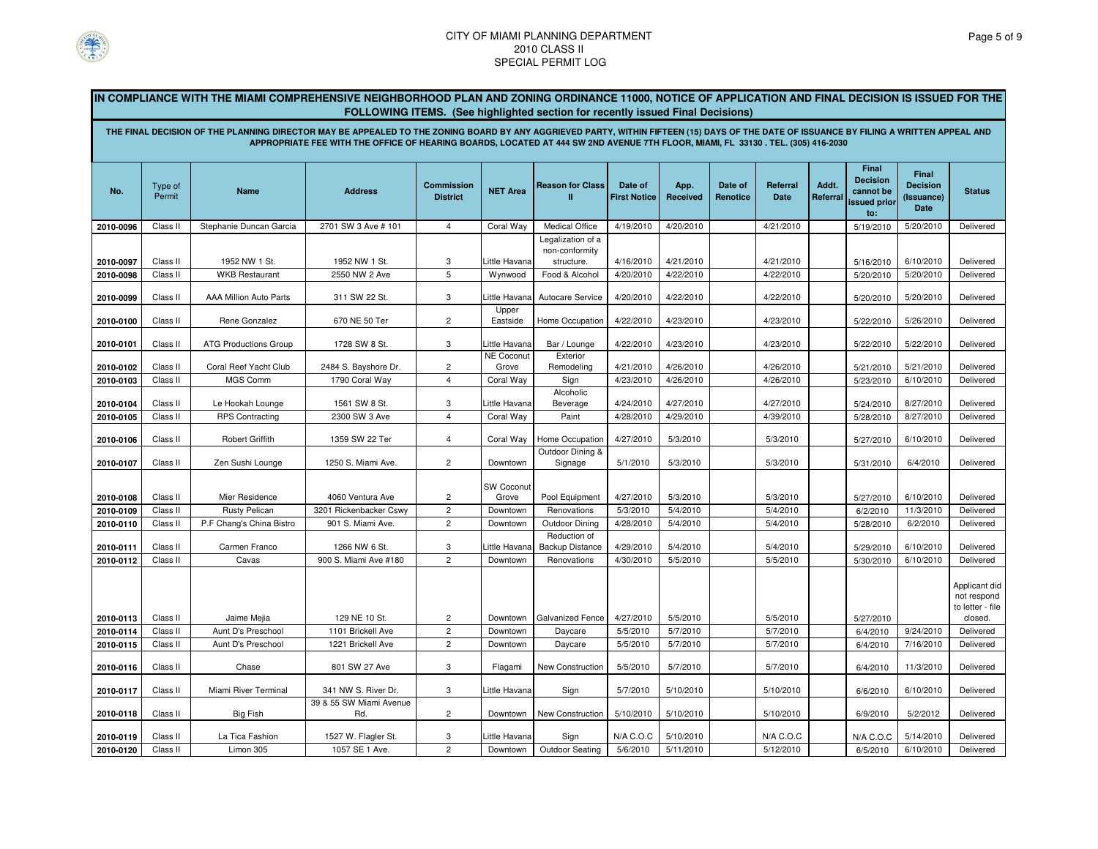

|           |                   | IN COMPLIANCE WITH THE MIAMI COMPREHENSIVE NEIGHBORHOOD PLAN AND ZONING ORDINANCE 11000, NOTICE OF APPLICATION AND FINAL DECISION IS ISSUED FOR THE                                     |                                                                                                                                  |                                      |                            | <b>FOLLOWING ITEMS.</b> (See highlighted section for recently issued Final Decisions) |                                |                  |                     |                  |                   |                                                                     |                                                |                                                             |
|-----------|-------------------|-----------------------------------------------------------------------------------------------------------------------------------------------------------------------------------------|----------------------------------------------------------------------------------------------------------------------------------|--------------------------------------|----------------------------|---------------------------------------------------------------------------------------|--------------------------------|------------------|---------------------|------------------|-------------------|---------------------------------------------------------------------|------------------------------------------------|-------------------------------------------------------------|
|           |                   | THE FINAL DECISION OF THE PLANNING DIRECTOR MAY BE APPEALED TO THE ZONING BOARD BY ANY AGGRIEVED PARTY, WITHIN FIFTEEN (15) DAYS OF THE DATE OF ISSUANCE BY FILING A WRITTEN APPEAL AND | APPROPRIATE FEE WITH THE OFFICE OF HEARING BOARDS, LOCATED AT 444 SW 2ND AVENUE 7TH FLOOR, MIAMI, FL 33130 . TEL. (305) 416-2030 |                                      |                            |                                                                                       |                                |                  |                     |                  |                   |                                                                     |                                                |                                                             |
| No.       | Type of<br>Permit | <b>Name</b>                                                                                                                                                                             | <b>Address</b>                                                                                                                   | <b>Commission</b><br><b>District</b> | <b>NET Area</b>            | <b>Reason for Class</b><br>п                                                          | Date of<br><b>First Notice</b> | App.<br>Received | Date of<br>Renotice | Referral<br>Date | Addt.<br>Referral | Final<br><b>Decision</b><br>cannot be<br><b>issued prior</b><br>to: | Final<br><b>Decision</b><br>(Issuance)<br>Date | <b>Status</b>                                               |
| 2010-0096 | Class II          | Stephanie Duncan Garcia                                                                                                                                                                 | 2701 SW 3 Ave # 101                                                                                                              | $\overline{4}$                       | Coral Way                  | Medical Office                                                                        | 4/19/2010                      | 4/20/2010        |                     | 4/21/2010        |                   | 5/19/2010                                                           | 5/20/2010                                      | Delivered                                                   |
|           |                   |                                                                                                                                                                                         |                                                                                                                                  |                                      |                            | Legalization of a<br>non-conformity                                                   |                                |                  |                     |                  |                   |                                                                     |                                                |                                                             |
| 2010-0097 | Class II          | 1952 NW 1 St.                                                                                                                                                                           | 1952 NW 1 St.                                                                                                                    | 3                                    | ittle Havana               | structure.                                                                            | 4/16/2010                      | 4/21/2010        |                     | 4/21/2010        |                   | 5/16/2010                                                           | 6/10/2010                                      | Delivered                                                   |
| 2010-0098 | Class II          | <b>WKB Restaurant</b>                                                                                                                                                                   | 2550 NW 2 Ave                                                                                                                    | 5                                    | Wynwood                    | Food & Alcohol                                                                        | 4/20/2010                      | 4/22/2010        |                     | 4/22/2010        |                   | 5/20/2010                                                           | 5/20/2010                                      | Delivered                                                   |
| 2010-0099 | Class II          | AAA Million Auto Parts                                                                                                                                                                  | 311 SW 22 St.                                                                                                                    | 3                                    | ittle Havana<br>Upper      | Autocare Service                                                                      | 4/20/2010                      | 4/22/2010        |                     | 4/22/2010        |                   | 5/20/2010                                                           | 5/20/2010                                      | Delivered                                                   |
| 2010-0100 | Class II          | Rene Gonzalez                                                                                                                                                                           | 670 NE 50 Ter                                                                                                                    | $\overline{2}$                       | Eastside                   | Home Occupation                                                                       | 4/22/2010                      | 4/23/2010        |                     | 4/23/2010        |                   | 5/22/2010                                                           | 5/26/2010                                      | Delivered                                                   |
| 2010-0101 | Class II          | <b>ATG Productions Group</b>                                                                                                                                                            | 1728 SW 8 St.                                                                                                                    | 3                                    | ittle Havana               | Bar / Lounge                                                                          | 4/22/2010                      | 4/23/2010        |                     | 4/23/2010        |                   | 5/22/2010                                                           | 5/22/2010                                      | Delivered                                                   |
| 2010-0102 | Class II          | Coral Reef Yacht Club                                                                                                                                                                   | 2484 S. Bayshore Dr.                                                                                                             | $\overline{c}$                       | <b>NE Coconut</b><br>Grove | Exterior<br>Remodeling                                                                | 4/21/2010                      | 4/26/2010        |                     | 4/26/2010        |                   | 5/21/2010                                                           | 5/21/2010                                      | Delivered                                                   |
| 2010-0103 | Class II          | MGS Comm                                                                                                                                                                                | 1790 Coral Way                                                                                                                   | $\overline{4}$                       | Coral Way                  | Sign                                                                                  | 4/23/2010                      | 4/26/2010        |                     | 4/26/2010        |                   | 5/23/2010                                                           | 6/10/2010                                      | Delivered                                                   |
| 2010-0104 | Class II          | Le Hookah Lounge                                                                                                                                                                        | 1561 SW 8 St.                                                                                                                    | 3                                    | ittle Havana.              | Alcoholic<br>Beverage                                                                 | 4/24/2010                      | 4/27/2010        |                     | 4/27/2010        |                   | 5/24/2010                                                           | 8/27/2010                                      | Delivered                                                   |
| 2010-0105 | Class II          | <b>RPS Contracting</b>                                                                                                                                                                  | 2300 SW 3 Ave                                                                                                                    | $\overline{4}$                       | Coral Way                  | Paint                                                                                 | 4/28/2010                      | 4/29/2010        |                     | 4/39/2010        |                   | 5/28/2010                                                           | 8/27/2010                                      | Delivered                                                   |
| 2010-0106 | Class II          | <b>Robert Griffith</b>                                                                                                                                                                  | 1359 SW 22 Ter                                                                                                                   | $\overline{4}$                       | Coral Way                  | Home Occupation                                                                       | 4/27/2010                      | 5/3/2010         |                     | 5/3/2010         |                   | 5/27/2010                                                           | 6/10/2010                                      | Delivered                                                   |
| 2010-0107 | Class II          | Zen Sushi Lounge                                                                                                                                                                        | 1250 S. Miami Ave.                                                                                                               | $\overline{c}$                       | Downtown                   | Outdoor Dining &<br>Signage                                                           | 5/1/2010                       | 5/3/2010         |                     | 5/3/2010         |                   | 5/31/2010                                                           | 6/4/2010                                       | Delivered                                                   |
| 2010-0108 | Class II          | Mier Residence                                                                                                                                                                          | 4060 Ventura Ave                                                                                                                 | $\overline{c}$                       | SW Coconut<br>Grove        | Pool Equipment                                                                        | 4/27/2010                      | 5/3/2010         |                     | 5/3/2010         |                   | 5/27/2010                                                           | 6/10/2010                                      | Delivered                                                   |
| 2010-0109 | Class II          | <b>Rusty Pelican</b>                                                                                                                                                                    | 3201 Rickenbacker Cswy                                                                                                           | $\overline{c}$                       | Downtown                   | Renovations                                                                           | 5/3/2010                       | 5/4/2010         |                     | 5/4/2010         |                   | 6/2/2010                                                            | 11/3/2010                                      | Delivered                                                   |
| 2010-0110 | Class II          | P.F Chang's China Bistro                                                                                                                                                                | 901 S. Miami Ave.                                                                                                                | $\overline{c}$                       | Downtown                   | Outdoor Dining                                                                        | 4/28/2010                      | 5/4/2010         |                     | 5/4/2010         |                   | 5/28/2010                                                           | 6/2/2010                                       | Delivered                                                   |
| 2010-0111 | Class II          | Carmen Franco                                                                                                                                                                           | 1266 NW 6 St.                                                                                                                    | 3                                    | ittle Havana.              | Reduction of<br><b>Backup Distance</b>                                                | 4/29/2010                      | 5/4/2010         |                     | 5/4/2010         |                   | 5/29/2010                                                           | 6/10/2010                                      | Delivered                                                   |
| 2010-0112 | Class II          | Cavas                                                                                                                                                                                   | 900 S. Miami Ave #180                                                                                                            | $\overline{c}$                       | Downtown                   | Renovations                                                                           | 4/30/2010                      | 5/5/2010         |                     | 5/5/2010         |                   | 5/30/2010                                                           | 6/10/2010                                      | Delivered                                                   |
| 2010-0113 | Class II          | Jaime Mejia                                                                                                                                                                             | 129 NE 10 St.                                                                                                                    | $\overline{c}$                       | Downtown                   | Galvanized Fence                                                                      | 4/27/2010                      | 5/5/2010         |                     | 5/5/2010         |                   | 5/27/2010                                                           |                                                | Applicant did<br>not respond<br>to letter - file<br>closed. |
| 2010-0114 | Class II          | Aunt D's Preschool                                                                                                                                                                      | 1101 Brickell Ave                                                                                                                | $\overline{c}$                       | Downtown                   | Daycare                                                                               | 5/5/2010                       | 5/7/2010         |                     | 5/7/2010         |                   | 6/4/2010                                                            | 9/24/2010                                      | Delivered                                                   |
| 2010-0115 | Class II          | Aunt D's Preschool                                                                                                                                                                      | 1221 Brickell Ave                                                                                                                | $\overline{c}$                       | Downtown                   | Daycare                                                                               | 5/5/2010                       | 5/7/2010         |                     | 5/7/2010         |                   | 6/4/2010                                                            | 7/16/2010                                      | Delivered                                                   |
| 2010-0116 | Class II          | Chase                                                                                                                                                                                   | 801 SW 27 Ave                                                                                                                    | 3                                    | Flagami                    | New Construction                                                                      | 5/5/2010                       | 5/7/2010         |                     | 5/7/2010         |                   | 6/4/2010                                                            | 11/3/2010                                      | Delivered                                                   |
| 2010-0117 | Class II          | Miami River Terminal                                                                                                                                                                    | 341 NW S. River Dr.                                                                                                              | 3                                    | Little Havana              | Sign                                                                                  | 5/7/2010                       | 5/10/2010        |                     | 5/10/2010        |                   | 6/6/2010                                                            | 6/10/2010                                      | Delivered                                                   |
| 2010-0118 | Class II          | <b>Big Fish</b>                                                                                                                                                                         | 39 & 55 SW Miami Avenue<br>Rd.                                                                                                   | $\overline{c}$                       | Downtown                   | New Construction                                                                      | 5/10/2010                      | 5/10/2010        |                     | 5/10/2010        |                   | 6/9/2010                                                            | 5/2/2012                                       | Delivered                                                   |
| 2010-0119 | Class II          | La Tica Fashion                                                                                                                                                                         | 1527 W. Flagler St.                                                                                                              | 3                                    | ittle Havana               | Sign                                                                                  | N/A C.O.C                      | 5/10/2010        |                     | N/A C.O.C        |                   | N/A C.O.C                                                           | 5/14/2010                                      | Delivered                                                   |
| 2010-0120 | Class II          | Limon 305                                                                                                                                                                               | 1057 SE 1 Ave.                                                                                                                   | $\overline{c}$                       | Downtown                   | Outdoor Seating                                                                       | 5/6/2010                       | 5/11/2010        |                     | 5/12/2010        |                   | 6/5/2010                                                            | 6/10/2010                                      | Delivered                                                   |
|           |                   |                                                                                                                                                                                         |                                                                                                                                  |                                      |                            |                                                                                       |                                |                  |                     |                  |                   |                                                                     |                                                |                                                             |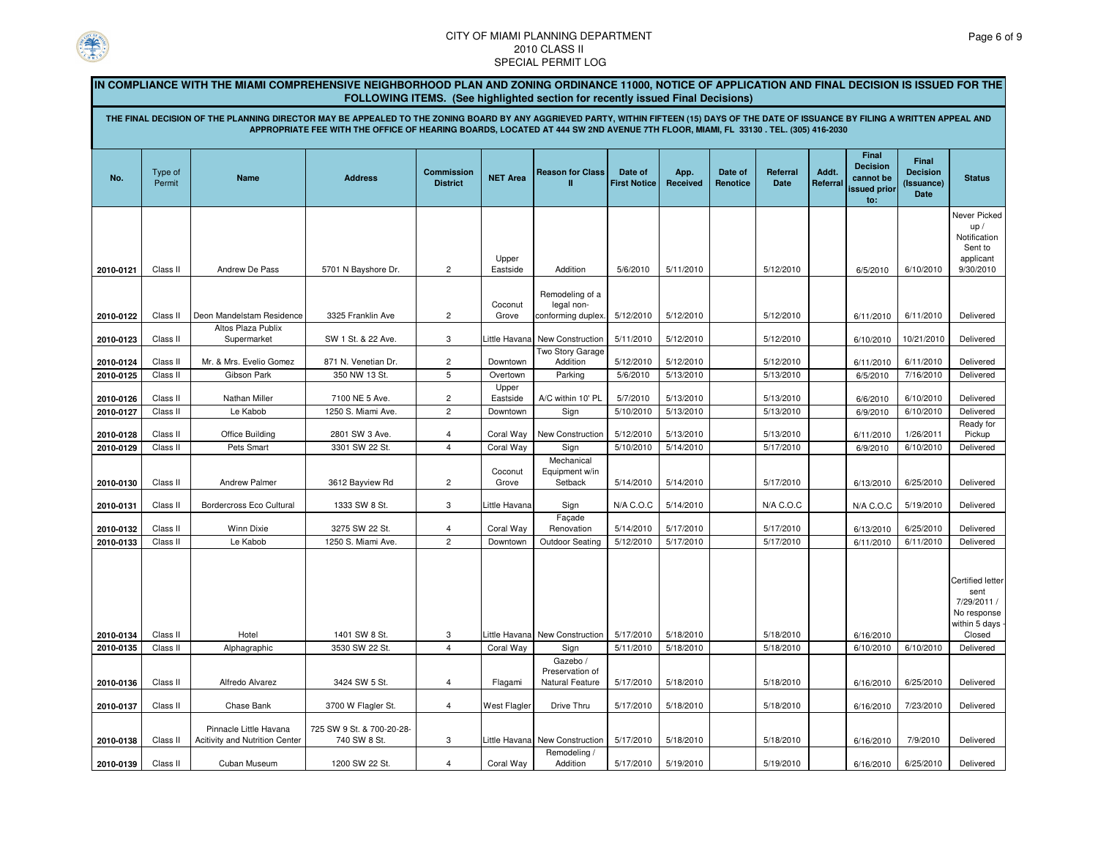

|                        |                                                                                                                                                                                                                                                                                                                                                                                                                               | IN COMPLIANCE WITH THE MIAMI COMPREHENSIVE NEIGHBORHOOD PLAN AND ZONING ORDINANCE 11000, NOTICE OF APPLICATION AND FINAL DECISION IS ISSUED FOR THE |                                           |                                           |                               |                                                |                                |                        |                     |                        |                   |                                                     |                                                       |                                                                          |  |
|------------------------|-------------------------------------------------------------------------------------------------------------------------------------------------------------------------------------------------------------------------------------------------------------------------------------------------------------------------------------------------------------------------------------------------------------------------------|-----------------------------------------------------------------------------------------------------------------------------------------------------|-------------------------------------------|-------------------------------------------|-------------------------------|------------------------------------------------|--------------------------------|------------------------|---------------------|------------------------|-------------------|-----------------------------------------------------|-------------------------------------------------------|--------------------------------------------------------------------------|--|
|                        | <b>FOLLOWING ITEMS.</b> (See highlighted section for recently issued Final Decisions)<br>THE FINAL DECISION OF THE PLANNING DIRECTOR MAY BE APPEALED TO THE ZONING BOARD BY ANY AGGRIEVED PARTY, WITHIN FIFTEEN (15) DAYS OF THE DATE OF ISSUANCE BY FILING A WRITTEN APPEAL AND<br>APPROPRIATE FEE WITH THE OFFICE OF HEARING BOARDS, LOCATED AT 444 SW 2ND AVENUE 7TH FLOOR, MIAMI, FL 33130 . TEL. (305) 416-2030<br>Final |                                                                                                                                                     |                                           |                                           |                               |                                                |                                |                        |                     |                        |                   |                                                     |                                                       |                                                                          |  |
| No.                    | Type of<br>Permit                                                                                                                                                                                                                                                                                                                                                                                                             | <b>Name</b>                                                                                                                                         | <b>Address</b>                            | <b>Commission</b><br><b>District</b>      | <b>NET Area</b>               | <b>Reason for Class</b><br>л                   | Date of<br><b>First Notice</b> | App.<br>Received       | Date of<br>Renotice | Referral<br>Date       | Addt.<br>Referral | <b>Decision</b><br>cannot be<br>issued prior<br>to: | Final<br><b>Decision</b><br>(Issuance)<br><b>Date</b> | <b>Status</b>                                                            |  |
|                        | Class II                                                                                                                                                                                                                                                                                                                                                                                                                      | Andrew De Pass                                                                                                                                      | 5701 N Bayshore Dr.                       | $\overline{c}$                            | Upper<br>Eastside             | Addition                                       | 5/6/2010                       | 5/11/2010              |                     | 5/12/2010              |                   |                                                     | 6/10/2010                                             | Never Picked<br>up/<br>Notification<br>Sent to<br>applicant<br>9/30/2010 |  |
| 2010-0121              | Class II                                                                                                                                                                                                                                                                                                                                                                                                                      | Deon Mandelstam Residence                                                                                                                           | 3325 Franklin Ave                         | $\overline{c}$                            | Coconut<br>Grove              | Remodeling of a<br>legal non-                  | 5/12/2010                      | 5/12/2010              |                     | 5/12/2010              |                   | 6/5/2010                                            | 6/11/2010                                             | Delivered                                                                |  |
| 2010-0122<br>2010-0123 | Class II                                                                                                                                                                                                                                                                                                                                                                                                                      | Altos Plaza Publix<br>Supermarket                                                                                                                   | SW 1 St. & 22 Ave.                        | 3                                         | ittle Havana                  | conforming duplex.<br>New Construction         | 5/11/2010                      | 5/12/2010              |                     | 5/12/2010              |                   | 6/11/2010<br>6/10/2010                              | 10/21/2010                                            | Delivered                                                                |  |
| 2010-0124              | Class II                                                                                                                                                                                                                                                                                                                                                                                                                      | Mr. & Mrs. Evelio Gomez                                                                                                                             | 871 N. Venetian Dr.<br>350 NW 13 St.      | $\overline{c}$<br>5                       | Downtown                      | Two Story Garage<br>Addition                   | 5/12/2010<br>5/6/2010          | 5/12/2010<br>5/13/2010 |                     | 5/12/2010              |                   | 6/11/2010                                           | 6/11/2010<br>7/16/2010                                | Delivered                                                                |  |
| 2010-0125<br>2010-0126 | Class II<br>Class II                                                                                                                                                                                                                                                                                                                                                                                                          | Gibson Park<br>Nathan Miller                                                                                                                        | 7100 NE 5 Ave.                            | $\overline{c}$                            | Overtown<br>Upper<br>Eastside | Parking<br>A/C within 10' PL                   | 5/7/2010                       | 5/13/2010              |                     | 5/13/2010<br>5/13/2010 |                   | 6/5/2010<br>6/6/2010                                | 6/10/2010                                             | Delivered<br>Delivered                                                   |  |
| 2010-0127              | Class II                                                                                                                                                                                                                                                                                                                                                                                                                      | Le Kabob                                                                                                                                            | 1250 S. Miami Ave.                        | $\overline{c}$                            | Downtown                      | Sign                                           | 5/10/2010                      | 5/13/2010              |                     | 5/13/2010              |                   | 6/9/2010                                            | 6/10/2010                                             | Delivered<br>Ready for                                                   |  |
| 2010-0128<br>2010-0129 | Class II<br>Class II                                                                                                                                                                                                                                                                                                                                                                                                          | Office Building<br>Pets Smart                                                                                                                       | 2801 SW 3 Ave.<br>3301 SW 22 St.          | $\overline{4}$<br>$\overline{\mathbf{4}}$ | Coral Way<br>Coral Way        | New Construction<br>Sign                       | 5/12/2010<br>5/10/2010         | 5/13/2010<br>5/14/2010 |                     | 5/13/2010<br>5/17/2010 |                   | 6/11/2010<br>6/9/2010                               | 1/26/2011<br>6/10/2010                                | Pickup<br>Delivered                                                      |  |
| 2010-0130              | Class II                                                                                                                                                                                                                                                                                                                                                                                                                      | <b>Andrew Palmer</b>                                                                                                                                | 3612 Bayview Rd                           | $\overline{2}$                            | Coconut<br>Grove              | Mechanical<br>Equipment w/in<br>Setback        | 5/14/2010                      | 5/14/2010              |                     | 5/17/2010              |                   | 6/13/2010                                           | 6/25/2010                                             | Delivered                                                                |  |
| 2010-0131              | Class II                                                                                                                                                                                                                                                                                                                                                                                                                      | Bordercross Eco Cultural                                                                                                                            | 1333 SW 8 St.                             | 3                                         | ittle Havana                  | Sign<br>Facade                                 | N/A C.O.C                      | 5/14/2010              |                     | N/A C.O.C              |                   | N/A C.O.C                                           | 5/19/2010                                             | Delivered                                                                |  |
| 2010-0132<br>2010-0133 | Class II<br>Class II                                                                                                                                                                                                                                                                                                                                                                                                          | <b>Winn Dixie</b><br>Le Kabob                                                                                                                       | 3275 SW 22 St.<br>1250 S. Miami Ave.      | $\overline{4}$<br>$\overline{c}$          | Coral Way<br>Downtown         | Renovation<br><b>Outdoor Seating</b>           | 5/14/2010<br>5/12/2010         | 5/17/2010<br>5/17/2010 |                     | 5/17/2010<br>5/17/2010 |                   | 6/13/2010<br>6/11/2010                              | 6/25/2010<br>6/11/2010                                | Delivered<br>Delivered                                                   |  |
|                        |                                                                                                                                                                                                                                                                                                                                                                                                                               |                                                                                                                                                     |                                           |                                           |                               |                                                |                                |                        |                     |                        |                   |                                                     |                                                       | Certified letter<br>sent<br>7/29/2011 /<br>No response<br>within 5 days  |  |
| 2010-0134<br>2010-0135 | Class II<br>Class II                                                                                                                                                                                                                                                                                                                                                                                                          | Hotel<br>Alphagraphic                                                                                                                               | 1401 SW 8 St.<br>3530 SW 22 St.           | 3<br>$\overline{4}$                       | Little Havana<br>Coral Way    | New Construction<br>Sign                       | 5/17/2010<br>5/11/2010         | 5/18/2010<br>5/18/2010 |                     | 5/18/2010<br>5/18/2010 |                   | 6/16/2010<br>6/10/2010                              | 6/10/2010                                             | Closed<br>Delivered                                                      |  |
| 2010-0136              | Class II                                                                                                                                                                                                                                                                                                                                                                                                                      | Alfredo Alvarez                                                                                                                                     | 3424 SW 5 St.                             | $\overline{4}$                            | Flagami                       | Gazebo /<br>Preservation of<br>Natural Feature | 5/17/2010                      | 5/18/2010              |                     | 5/18/2010              |                   | 6/16/2010                                           | 6/25/2010                                             | Delivered                                                                |  |
| 2010-0137              | Class II                                                                                                                                                                                                                                                                                                                                                                                                                      | Chase Bank                                                                                                                                          | 3700 W Flagler St.                        | $\overline{4}$                            | <b>West Flagler</b>           | Drive Thru                                     | 5/17/2010                      | 5/18/2010              |                     | 5/18/2010              |                   | 6/16/2010                                           | 7/23/2010                                             | Delivered                                                                |  |
| 2010-0138              | Class II                                                                                                                                                                                                                                                                                                                                                                                                                      | Pinnacle Little Havana<br>Acitivity and Nutrition Center                                                                                            | 725 SW 9 St. & 700-20-28-<br>740 SW 8 St. | 3                                         | Little Havana                 | New Construction                               | 5/17/2010                      | 5/18/2010              |                     | 5/18/2010              |                   | 6/16/2010                                           | 7/9/2010                                              | Delivered                                                                |  |
| 2010-0139              | Class II                                                                                                                                                                                                                                                                                                                                                                                                                      | Cuban Museum                                                                                                                                        | 1200 SW 22 St.                            | $\overline{4}$                            | Coral Way                     | Remodeling /<br>Addition                       | 5/17/2010                      | 5/19/2010              |                     | 5/19/2010              |                   | 6/16/2010                                           | 6/25/2010                                             | Delivered                                                                |  |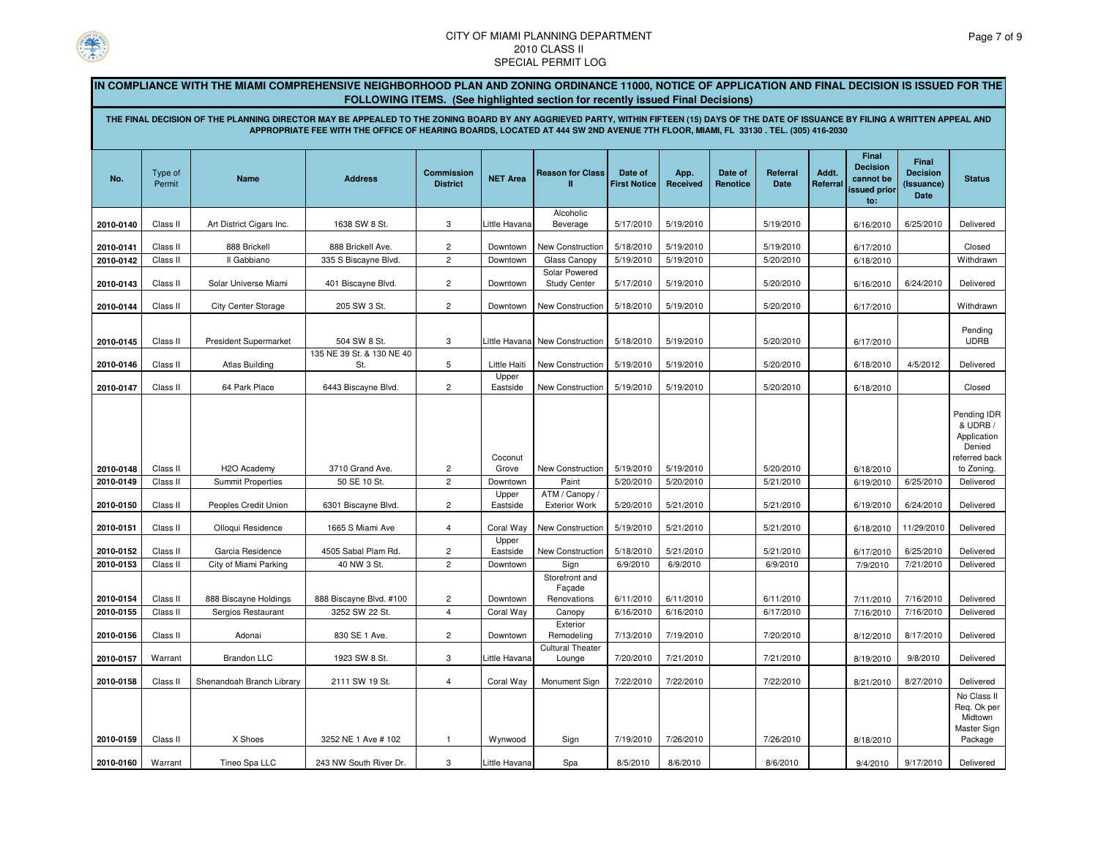

**2010-0157**

**2010-0158**

**2010-0159**

**2010-0160**

**7** | Warrant | Brandon LLC | 1923 SW 8 St. | 3 | Little Havana

### CITY OF MIAMI PLANNING DEPARTMENT2010 CLASS IISPECIAL PERMIT LOG

|                        |                      | IN COMPLIANCE WITH THE MIAMI COMPREHENSIVE NEIGHBORHOOD PLAN AND ZONING ORDINANCE 11000, NOTICE OF APPLICATION AND FINAL DECISION IS ISSUED FOR THE                                     |                                                                                                                                 |                                      |                       |                                                                                       |                                |                        |                     |                         |                   |                                                              |                                                       |                                                                               |
|------------------------|----------------------|-----------------------------------------------------------------------------------------------------------------------------------------------------------------------------------------|---------------------------------------------------------------------------------------------------------------------------------|--------------------------------------|-----------------------|---------------------------------------------------------------------------------------|--------------------------------|------------------------|---------------------|-------------------------|-------------------|--------------------------------------------------------------|-------------------------------------------------------|-------------------------------------------------------------------------------|
|                        |                      |                                                                                                                                                                                         |                                                                                                                                 |                                      |                       | <b>FOLLOWING ITEMS.</b> (See highlighted section for recently issued Final Decisions) |                                |                        |                     |                         |                   |                                                              |                                                       |                                                                               |
|                        |                      | THE FINAL DECISION OF THE PLANNING DIRECTOR MAY BE APPEALED TO THE ZONING BOARD BY ANY AGGRIEVED PARTY, WITHIN FIFTEEN (15) DAYS OF THE DATE OF ISSUANCE BY FILING A WRITTEN APPEAL AND | APPROPRIATE FEE WITH THE OFFICE OF HEARING BOARDS, LOCATED AT 444 SW 2ND AVENUE 7TH FLOOR, MIAMI, FL 33130. TEL. (305) 416-2030 |                                      |                       |                                                                                       |                                |                        |                     |                         |                   |                                                              |                                                       |                                                                               |
| No.                    | Type of<br>Permit    | Name                                                                                                                                                                                    | <b>Address</b>                                                                                                                  | <b>Commission</b><br><b>District</b> | <b>NET Area</b>       | <b>Reason for Class</b><br>п                                                          | Date of<br><b>First Notice</b> | App.<br>Received       | Date of<br>Renotice | Referral<br><b>Date</b> | Addt.<br>Referral | Final<br><b>Decision</b><br>cannot be<br>issued prior<br>to: | <b>Final</b><br><b>Decision</b><br>(Issuance)<br>Date | <b>Status</b>                                                                 |
|                        |                      |                                                                                                                                                                                         | 1638 SW 8 St.                                                                                                                   |                                      | Little Havana         | Alcoholic                                                                             |                                | 5/19/2010              |                     | 5/19/2010               |                   |                                                              |                                                       |                                                                               |
| 2010-0140              | Class II             | Art District Cigars Inc.                                                                                                                                                                |                                                                                                                                 | 3                                    |                       | Beverage                                                                              | 5/17/2010                      |                        |                     |                         |                   | 6/16/2010                                                    | 6/25/2010                                             | Delivered                                                                     |
| 2010-0141              | Class II             | 888 Brickell                                                                                                                                                                            | 888 Brickell Ave.                                                                                                               | $\overline{c}$                       | Downtown              | New Construction                                                                      | 5/18/2010                      | 5/19/2010              |                     | 5/19/2010               |                   | 6/17/2010                                                    |                                                       | Closed                                                                        |
| 2010-0142              | Class II             | Il Gabbiano                                                                                                                                                                             | 335 S Biscayne Blvd.                                                                                                            | $\overline{c}$                       | Downtown              | Glass Canopy                                                                          | 5/19/2010                      | 5/19/2010              |                     | 5/20/2010               |                   | 6/18/2010                                                    |                                                       | Withdrawn                                                                     |
| 2010-0143              | Class II             | Solar Universe Miami                                                                                                                                                                    | 401 Biscayne Blvd.                                                                                                              | $\overline{c}$                       | Downtown              | Solar Powered<br><b>Study Center</b>                                                  | 5/17/2010                      | 5/19/2010              |                     | 5/20/2010               |                   | 6/16/2010                                                    | 6/24/2010                                             | Delivered                                                                     |
| 2010-0144              | Class II             | <b>City Center Storage</b>                                                                                                                                                              | 205 SW 3 St.                                                                                                                    | $\overline{c}$                       | Downtown              | New Construction                                                                      | 5/18/2010                      | 5/19/2010              |                     | 5/20/2010               |                   | 6/17/2010                                                    |                                                       | Withdrawn                                                                     |
| 2010-0145              | Class II             | <b>President Supermarket</b>                                                                                                                                                            | 504 SW 8 St.                                                                                                                    | 3                                    | Little Havana         | New Construction                                                                      | 5/18/2010                      | 5/19/2010              |                     | 5/20/2010               |                   | 6/17/2010                                                    |                                                       | Pending<br><b>UDRB</b>                                                        |
| 2010-0146              | Class II             | <b>Atlas Building</b>                                                                                                                                                                   | 135 NE 39 St. & 130 NE 40<br>St.                                                                                                | 5                                    | Little Haiti          | New Construction                                                                      | 5/19/2010                      | 5/19/2010              |                     | 5/20/2010               |                   | 6/18/2010                                                    | 4/5/2012                                              | Delivered                                                                     |
| 2010-0147              | Class II             | 64 Park Place                                                                                                                                                                           | 6443 Biscayne Blvd.                                                                                                             | $\overline{2}$                       | Upper<br>Eastside     | New Construction                                                                      | 5/19/2010                      | 5/19/2010              |                     | 5/20/2010               |                   | 6/18/2010                                                    |                                                       | Closed                                                                        |
|                        |                      |                                                                                                                                                                                         |                                                                                                                                 |                                      | Coconut               |                                                                                       |                                |                        |                     |                         |                   |                                                              |                                                       | Pending IDR<br>& UDRB /<br>Application<br>Denied<br>eferred back <sup>.</sup> |
| 2010-0148              | Class II             | H <sub>2</sub> O Academy                                                                                                                                                                | 3710 Grand Ave.                                                                                                                 | $\overline{c}$                       | Grove                 | New Construction                                                                      | 5/19/2010                      | 5/19/2010              |                     | 5/20/2010               |                   | 6/18/2010                                                    |                                                       | to Zoning.                                                                    |
| 2010-0149              | Class II             | <b>Summit Properties</b>                                                                                                                                                                | 50 SE 10 St.                                                                                                                    | $\overline{c}$                       | Downtown              | Paint                                                                                 | 5/20/2010                      | 5/20/2010              |                     | 5/21/2010               |                   | 6/19/2010                                                    | 6/25/2010                                             | Delivered                                                                     |
| 2010-0150              | Class II             | Peoples Credit Union                                                                                                                                                                    | 6301 Biscayne Blvd.                                                                                                             | $\overline{2}$                       | Upper<br>Eastside     | ATM / Canopy<br><b>Exterior Work</b>                                                  | 5/20/2010                      | 5/21/2010              |                     | 5/21/2010               |                   | 6/19/2010                                                    | 6/24/2010                                             | Delivered                                                                     |
| 2010-0151              | Class II             | Olloqui Residence                                                                                                                                                                       | 1665 S Miami Ave                                                                                                                | 4                                    | Coral Way             | New Construction                                                                      | 5/19/2010                      | 5/21/2010              |                     | 5/21/2010               |                   | 6/18/2010                                                    | 11/29/2010                                            | Delivered                                                                     |
| 2010-0152              | Class II             | Garcia Residence                                                                                                                                                                        | 4505 Sabal Plam Rd.                                                                                                             | $\overline{c}$                       | Upper<br>Eastside     | New Construction                                                                      | 5/18/2010                      | 5/21/2010              |                     | 5/21/2010               |                   | 6/17/2010                                                    | 6/25/2010                                             | Delivered                                                                     |
| 2010-0153              | Class II             | City of Miami Parking                                                                                                                                                                   | 40 NW 3 St.                                                                                                                     | $\overline{2}$                       | Downtown              | Sign                                                                                  | 6/9/2010                       | 6/9/2010               |                     | 6/9/2010                |                   | 7/9/2010                                                     | 7/21/2010                                             | Delivered                                                                     |
|                        |                      |                                                                                                                                                                                         |                                                                                                                                 |                                      |                       | Storefront and<br>Façade                                                              |                                |                        |                     |                         |                   |                                                              |                                                       |                                                                               |
| 2010-0154<br>2010-0155 | Class II<br>Class II | 888 Biscayne Holdings<br>Sergios Restaurant                                                                                                                                             | 888 Biscayne Blvd. #100<br>3252 SW 22 St.                                                                                       | 2<br>$\overline{4}$                  | Downtown<br>Coral Way | Renovations<br>Canopy                                                                 | 6/11/2010<br>6/16/2010         | 6/11/2010<br>6/16/2010 |                     | 6/11/2010<br>6/17/2010  |                   | 7/11/2010<br>7/16/2010                                       | 7/16/2010<br>7/16/2010                                | Delivered<br>Delivered                                                        |
| 2010-0156              | Class II             | Adonai                                                                                                                                                                                  | 830 SE 1 Ave.                                                                                                                   | $\overline{2}$                       | Downtown              | Exterior<br>Remodeling                                                                | 7/13/2010                      | 7/19/2010              |                     | 7/20/2010               |                   | 8/12/2010                                                    | 8/17/2010                                             | Delivered                                                                     |

Cultural Theater

Class II Shenandoah Branch Library 2111 SW 19 St. 4 Coral Way Monument Sign 7/22/2010 7/22/2010 7/22/2010 8/21/2010

Class II X Shoes 3252 NE 1 Ave # 102 <sup>1</sup> Wynwood Sign 7/19/2010 7/26/2010 7/26/2010 8/18/2010

0 | Warrant | Composible Composition | 243 NW South River Dr. | 3 | Little Havana | Spa | 8/5/2010 | 8/6/2010 | 8/6/2010 | 9/4/2010 | 9/4/2010 | 9/4/2010 | 9/4/2010 | 9/4/2010 | 9/4/2010 | 9/4/2010 | 9/4/2010 | 9/4/2010 |

Lounge 7/20/2010 7/21/2010 7/21/2010

0 8/12/2010 8/17/2010 Delivered

9/8/2010 Delivered

8/27/2010 Delivered

9/4/2010 9/17/2010 Delivered

No Class II Req. Ok per Midtown Master Sign Package

8/19/2010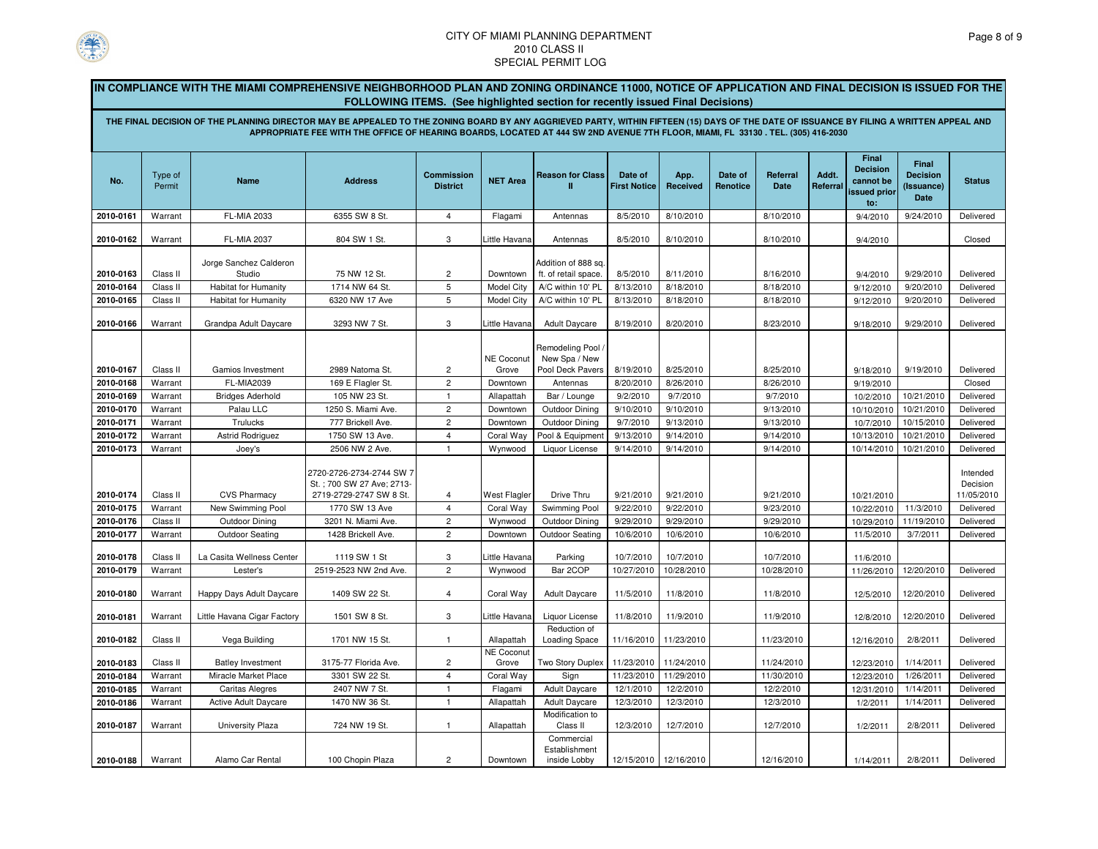

**IN COMPLIANCE WITH THE MIAMI COMPREHENSIVE NEIGHBORHOOD PLAN AND ZONING ORDINANCE 11000, NOTICE OF APPLICATION AND FINAL DECISION IS ISSUED FOR THE FOLLOWING ITEMS. (See highlighted section for recently issued Final Decisions)**

**THE FINAL DECISION OF THE PLANNING DIRECTOR MAY BE APPEALED TO THE ZONING BOARD BY ANY AGGRIEVED PARTY, WITHIN FIFTEEN (15) DAYS OF THE DATE OF ISSUANCE BY FILING A WRITTEN APPEAL AND APPROPRIATE FEE WITH THE OFFICE OF HEARING BOARDS, LOCATED AT 444 SW 2ND AVENUE 7TH FLOOR, MIAMI, FL 33130 . TEL. (305) 416-2030**

|           |                   |                                  |                                                                                  |                                      |                            |                                             |                                |                  |                     |                  |                   | Final<br><b>Decision</b>         | Final                                 |                                    |
|-----------|-------------------|----------------------------------|----------------------------------------------------------------------------------|--------------------------------------|----------------------------|---------------------------------------------|--------------------------------|------------------|---------------------|------------------|-------------------|----------------------------------|---------------------------------------|------------------------------------|
| No.       | Type of<br>Permit | Name                             | <b>Address</b>                                                                   | <b>Commission</b><br><b>District</b> | <b>NET Area</b>            | <b>Reason for Class</b>                     | Date of<br><b>First Notice</b> | App.<br>Received | Date of<br>Renotice | Referral<br>Date | Addt.<br>Referral | cannot be<br>issued prior<br>to: | <b>Decision</b><br>(Issuance)<br>Date | <b>Status</b>                      |
| 2010-0161 | Warrant           | FL-MIA 2033                      | 6355 SW 8 St.                                                                    | $\overline{4}$                       | Flagami                    | Antennas                                    | 8/5/2010                       | 8/10/2010        |                     | 8/10/2010        |                   | 9/4/2010                         | 9/24/2010                             | Delivered                          |
| 2010-0162 | Warrant           | <b>FL-MIA 2037</b>               | 804 SW 1 St.                                                                     | 3                                    | Little Havana              | Antennas                                    | 8/5/2010                       | 8/10/2010        |                     | 8/10/2010        |                   | 9/4/2010                         |                                       | Closed                             |
|           |                   |                                  |                                                                                  |                                      |                            |                                             |                                |                  |                     |                  |                   |                                  |                                       |                                    |
| 2010-0163 | Class II          | Jorge Sanchez Calderon<br>Studio | 75 NW 12 St.                                                                     | $\overline{2}$                       | Downtown                   | Addition of 888 sq.<br>ft. of retail space. | 8/5/2010                       | 8/11/2010        |                     | 8/16/2010        |                   | 9/4/2010                         | 9/29/2010                             | Delivered                          |
| 2010-0164 | Class II          | <b>Habitat for Humanity</b>      | 1714 NW 64 St.                                                                   | 5                                    | <b>Model City</b>          | A/C within 10' PL                           | 8/13/2010                      | 8/18/2010        |                     | 8/18/2010        |                   | 9/12/2010                        | 9/20/2010                             | Delivered                          |
| 2010-0165 | Class II          | <b>Habitat for Humanity</b>      | 6320 NW 17 Ave                                                                   | 5                                    | <b>Model City</b>          | A/C within 10' PL                           | 8/13/2010                      | 8/18/2010        |                     | 8/18/2010        |                   | 9/12/2010                        | 9/20/2010                             | Delivered                          |
| 2010-0166 | Warrant           | Grandpa Adult Daycare            | 3293 NW 7 St.                                                                    | 3                                    | Little Havana              | <b>Adult Daycare</b>                        | 8/19/2010                      | 8/20/2010        |                     | 8/23/2010        |                   | 9/18/2010                        | 9/29/2010                             | Delivered                          |
|           |                   |                                  |                                                                                  |                                      |                            |                                             |                                |                  |                     |                  |                   |                                  |                                       |                                    |
|           |                   |                                  |                                                                                  |                                      | NE Coconut                 | Remodeling Pool<br>New Spa / New            |                                |                  |                     |                  |                   |                                  |                                       |                                    |
| 2010-0167 | Class II          | Gamios Investment                | 2989 Natoma St.                                                                  | $\overline{2}$                       | Grove                      | Pool Deck Pavers                            | 8/19/2010                      | 8/25/2010        |                     | 8/25/2010        |                   | 9/18/2010                        | 9/19/2010                             | Delivered                          |
| 2010-0168 | Warrant           | <b>FL-MIA2039</b>                | 169 E Flagler St.                                                                | $\overline{2}$                       | Downtown                   | Antennas                                    | 8/20/2010                      | 8/26/2010        |                     | 8/26/2010        |                   | 9/19/2010                        |                                       | Closed                             |
| 2010-0169 | Warrant           | <b>Bridges Aderhold</b>          | 105 NW 23 St.                                                                    | $\mathbf{1}$                         | Allapattah                 | Bar / Lounge                                | 9/2/2010                       | 9/7/2010         |                     | 9/7/2010         |                   | 10/2/2010                        | 10/21/2010                            | Delivered                          |
| 2010-0170 | Warrant           | Palau LLC                        | 1250 S. Miami Ave.                                                               | $\overline{2}$                       | Downtown                   | Outdoor Dining                              | 9/10/2010                      | 9/10/2010        |                     | 9/13/2010        |                   | 10/10/2010                       | 10/21/2010                            | Delivered                          |
| 2010-0171 | Warrant           | Trulucks                         | 777 Brickell Ave.                                                                | $\overline{2}$                       | Downtown                   | Outdoor Dining                              | 9/7/2010                       | 9/13/2010        |                     | 9/13/2010        |                   | 10/7/2010                        | 10/15/2010                            | Delivered                          |
| 2010-0172 | Warrant           | Astrid Rodriguez                 | 1750 SW 13 Ave.                                                                  | $\overline{4}$                       | Coral Way                  | Pool & Equipment                            | 9/13/2010                      | 9/14/2010        |                     | 9/14/2010        |                   | 10/13/2010                       | 10/21/2010                            | Delivered                          |
| 2010-0173 | Warrant           | Joey's                           | 2506 NW 2 Ave.                                                                   | $\mathbf{1}$                         | Wynwood                    | Liquor License                              | 9/14/2010                      | 9/14/2010        |                     | 9/14/2010        |                   | 10/14/2010                       | 10/21/2010                            | Delivered                          |
| 2010-0174 | Class II          | <b>CVS Pharmacy</b>              | 2720-2726-2734-2744 SW 7<br>St.; 700 SW 27 Ave; 2713-<br>2719-2729-2747 SW 8 St. | 4                                    | West Flagler               | Drive Thru                                  | 9/21/2010                      | 9/21/2010        |                     | 9/21/2010        |                   | 10/21/2010                       |                                       | Intended<br>Decision<br>11/05/2010 |
| 2010-0175 | Warrant           | New Swimming Pool                | 1770 SW 13 Ave                                                                   | $\overline{4}$                       | Coral Way                  | Swimming Pool                               | 9/22/2010                      | 9/22/2010        |                     | 9/23/2010        |                   | 10/22/2010                       | 11/3/2010                             | Delivered                          |
| 2010-0176 | Class II          | Outdoor Dining                   | 3201 N. Miami Ave.                                                               | $\overline{2}$                       | Wynwood                    | Outdoor Dining                              | 9/29/2010                      | 9/29/2010        |                     | 9/29/2010        |                   | 10/29/2010                       | 11/19/2010                            | Delivered                          |
| 2010-0177 | Warrant           | <b>Outdoor Seating</b>           | 1428 Brickell Ave.                                                               | $\overline{c}$                       | Downtown                   | <b>Outdoor Seating</b>                      | 10/6/2010                      | 10/6/2010        |                     | 10/6/2010        |                   | 11/5/2010                        | 3/7/2011                              | Delivered                          |
| 2010-0178 | Class II          | La Casita Wellness Center        | 1119 SW 1 St                                                                     | 3                                    | Little Havana              | Parking                                     | 10/7/2010                      | 10/7/2010        |                     | 10/7/2010        |                   | 11/6/2010                        |                                       |                                    |
| 2010-0179 | Warrant           | Lester's                         | 2519-2523 NW 2nd Ave.                                                            | $\overline{2}$                       | Wynwood                    | Bar 2COP                                    | 10/27/2010                     | 10/28/2010       |                     | 10/28/2010       |                   | 11/26/2010                       | 12/20/2010                            | Delivered                          |
| 2010-0180 | Warrant           | Happy Days Adult Daycare         | 1409 SW 22 St.                                                                   | $\overline{4}$                       | Coral Way                  | <b>Adult Daycare</b>                        | 11/5/2010                      | 11/8/2010        |                     | 11/8/2010        |                   | 12/5/2010                        | 12/20/2010                            | Delivered                          |
| 2010-0181 | Warrant           | Little Havana Cigar Factory      | 1501 SW 8 St.                                                                    | 3                                    | Little Havana              | Liquor License                              | 11/8/2010                      | 11/9/2010        |                     | 11/9/2010        |                   | 12/8/2010                        | 12/20/2010                            | Delivered                          |
| 2010-0182 | Class II          | Vega Building                    | 1701 NW 15 St.                                                                   | $\mathbf{1}$                         | Allapattah                 | Reduction of<br>Loading Space               | 11/16/2010                     | 11/23/2010       |                     | 11/23/2010       |                   | 12/16/2010                       | 2/8/2011                              | Delivered                          |
| 2010-0183 | Class II          | <b>Batley Investment</b>         | 3175-77 Florida Ave.                                                             | $\overline{c}$                       | <b>NE Coconut</b><br>Grove | Two Story Duplex                            | 11/23/2010                     | 11/24/2010       |                     | 11/24/2010       |                   | 12/23/2010                       | 1/14/2011                             | Delivered                          |
| 2010-0184 | Warrant           | Miracle Market Place             | 3301 SW 22 St                                                                    | $\overline{4}$                       | Coral Way                  | Sign                                        | 11/23/2010                     | 11/29/2010       |                     | 11/30/2010       |                   | 12/23/2010                       | 1/26/2011                             | Delivered                          |
| 2010-0185 | Warrant           | <b>Caritas Alegres</b>           | 2407 NW 7 St.                                                                    | $\mathbf{1}$                         | Flagami                    | Adult Daycare                               | 12/1/2010                      | 12/2/2010        |                     | 12/2/2010        |                   | 12/31/2010                       | 1/14/2011                             | Delivered                          |
| 2010-0186 | Warrant           | <b>Active Adult Daycare</b>      | 1470 NW 36 St.                                                                   | $\mathbf{1}$                         | Allapattah                 | <b>Adult Daycare</b>                        | 12/3/2010                      | 12/3/2010        |                     | 12/3/2010        |                   | 1/2/2011                         | 1/14/2011                             | Delivered                          |
| 2010-0187 | Warrant           | University Plaza                 | 724 NW 19 St.                                                                    | $\mathbf{1}$                         | Allapattah                 | Modification to<br>Class II                 | 12/3/2010                      | 12/7/2010        |                     | 12/7/2010        |                   | 1/2/2011                         | 2/8/2011                              | Delivered                          |
| 2010-0188 | Warrant           | Alamo Car Rental                 | 100 Chopin Plaza                                                                 | $\overline{2}$                       | Downtown                   | Commercial<br>Establishment<br>inside Lobby | 12/15/2010 12/16/2010          |                  |                     | 12/16/2010       |                   | 1/14/2011                        | 2/8/2011                              | Delivered                          |